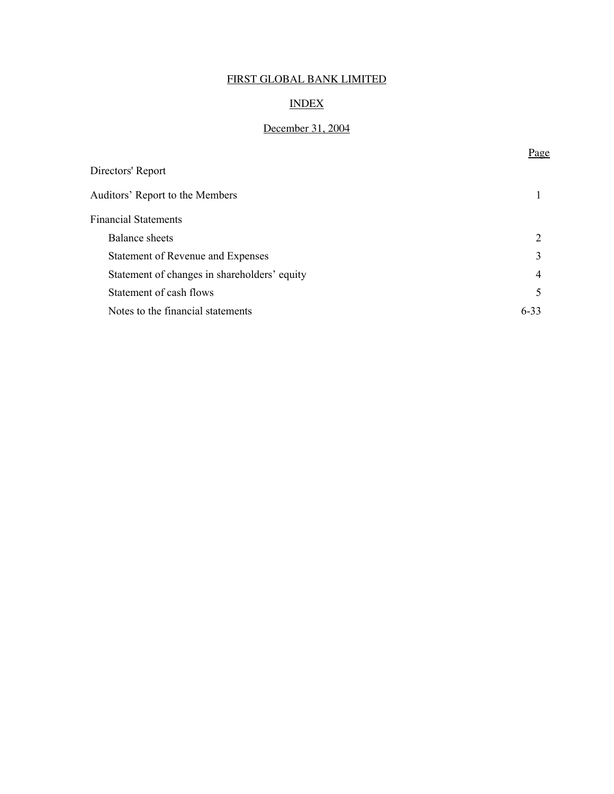## INDEX

## December 31, 2004

Page

| Directors' Report                            |          |
|----------------------------------------------|----------|
| Auditors' Report to the Members              |          |
| <b>Financial Statements</b>                  |          |
| <b>Balance</b> sheets                        | 2        |
| Statement of Revenue and Expenses            | 3        |
| Statement of changes in shareholders' equity | 4        |
| Statement of cash flows                      | 5        |
| Notes to the financial statements            | $6 - 33$ |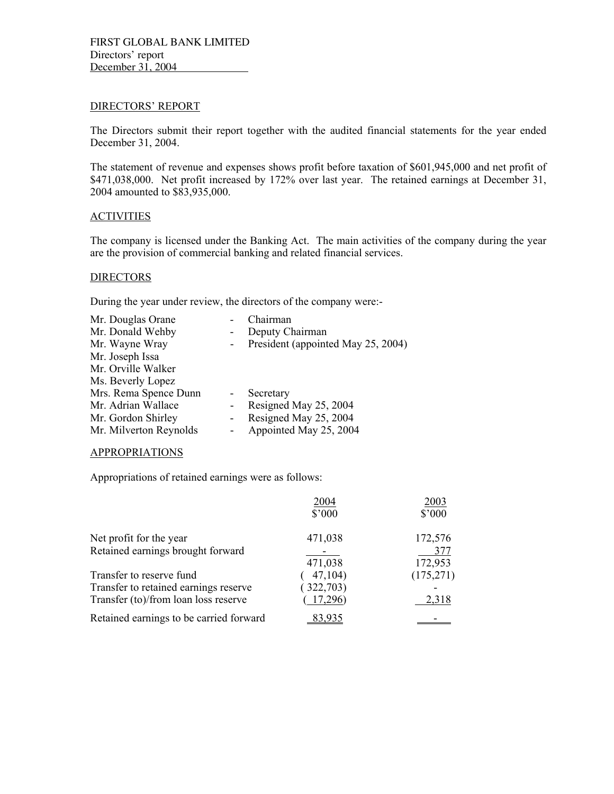#### DIRECTORS' REPORT

The Directors submit their report together with the audited financial statements for the year ended December 31, 2004.

The statement of revenue and expenses shows profit before taxation of \$601,945,000 and net profit of \$471,038,000. Net profit increased by 172% over last year. The retained earnings at December 31, 2004 amounted to \$83,935,000.

#### **ACTIVITIES**

The company is licensed under the Banking Act. The main activities of the company during the year are the provision of commercial banking and related financial services.

### **DIRECTORS**

During the year under review, the directors of the company were:-

| Mr. Douglas Orane      | Chairman                           |
|------------------------|------------------------------------|
| Mr. Donald Wehby       | Deputy Chairman                    |
| Mr. Wayne Wray         | President (appointed May 25, 2004) |
| Mr. Joseph Issa        |                                    |
| Mr. Orville Walker     |                                    |
| Ms. Beverly Lopez      |                                    |
| Mrs. Rema Spence Dunn  | Secretary                          |
| Mr. Adrian Wallace     | Resigned May 25, 2004              |
| Mr. Gordon Shirley     | Resigned May 25, 2004              |
| Mr. Milverton Reynolds | Appointed May 25, 2004             |
|                        |                                    |

#### APPROPRIATIONS

Appropriations of retained earnings were as follows:

|                                         | 2004      | 2003           |
|-----------------------------------------|-----------|----------------|
|                                         | \$'000    | $$^{\circ}000$ |
| Net profit for the year                 | 471,038   | 172,576        |
| Retained earnings brought forward       |           | 377            |
|                                         | 471,038   | 172,953        |
| Transfer to reserve fund                | 47,104)   | (175,271)      |
| Transfer to retained earnings reserve   | (322,703) |                |
| Transfer (to)/from loan loss reserve    | 17,296    | 2,318          |
| Retained earnings to be carried forward | 83.935    |                |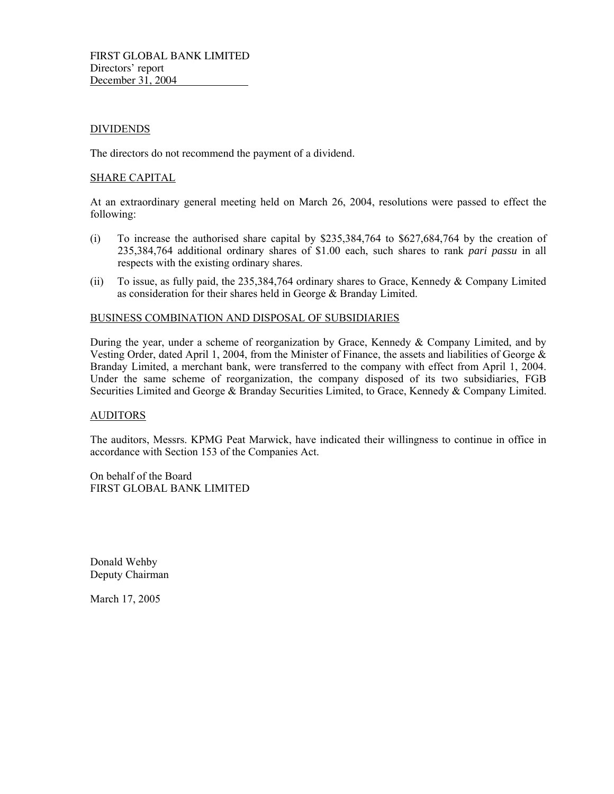### DIVIDENDS

The directors do not recommend the payment of a dividend.

#### SHARE CAPITAL

At an extraordinary general meeting held on March 26, 2004, resolutions were passed to effect the following:

- (i) To increase the authorised share capital by \$235,384,764 to \$627,684,764 by the creation of 235,384,764 additional ordinary shares of \$1.00 each, such shares to rank *pari passu* in all respects with the existing ordinary shares.
- (ii) To issue, as fully paid, the 235,384,764 ordinary shares to Grace, Kennedy & Company Limited as consideration for their shares held in George & Branday Limited.

#### BUSINESS COMBINATION AND DISPOSAL OF SUBSIDIARIES

During the year, under a scheme of reorganization by Grace, Kennedy & Company Limited, and by Vesting Order, dated April 1, 2004, from the Minister of Finance, the assets and liabilities of George & Branday Limited, a merchant bank, were transferred to the company with effect from April 1, 2004. Under the same scheme of reorganization, the company disposed of its two subsidiaries, FGB Securities Limited and George & Branday Securities Limited, to Grace, Kennedy & Company Limited.

#### AUDITORS

The auditors, Messrs. KPMG Peat Marwick, have indicated their willingness to continue in office in accordance with Section 153 of the Companies Act.

On behalf of the Board FIRST GLOBAL BANK LIMITED

Donald Wehby Deputy Chairman

March 17, 2005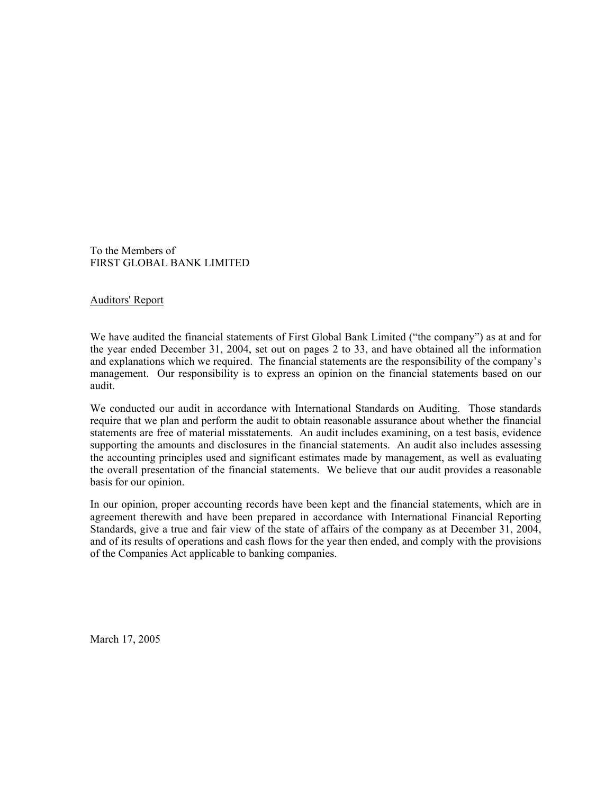To the Members of FIRST GLOBAL BANK LIMITED

### Auditors' Report

We have audited the financial statements of First Global Bank Limited ("the company") as at and for the year ended December 31, 2004, set out on pages 2 to 33, and have obtained all the information and explanations which we required. The financial statements are the responsibility of the company's management. Our responsibility is to express an opinion on the financial statements based on our audit.

We conducted our audit in accordance with International Standards on Auditing. Those standards require that we plan and perform the audit to obtain reasonable assurance about whether the financial statements are free of material misstatements. An audit includes examining, on a test basis, evidence supporting the amounts and disclosures in the financial statements. An audit also includes assessing the accounting principles used and significant estimates made by management, as well as evaluating the overall presentation of the financial statements. We believe that our audit provides a reasonable basis for our opinion.

In our opinion, proper accounting records have been kept and the financial statements, which are in agreement therewith and have been prepared in accordance with International Financial Reporting Standards, give a true and fair view of the state of affairs of the company as at December 31, 2004, and of its results of operations and cash flows for the year then ended, and comply with the provisions of the Companies Act applicable to banking companies.

March 17, 2005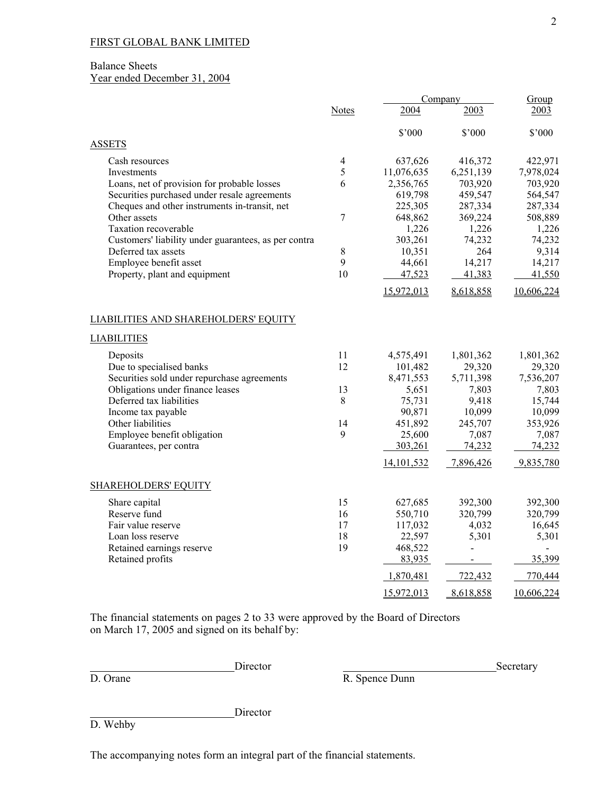### Balance Sheets

# Year ended December 31, 2004

|                                                      |                | Company    |                          | Group      |  |
|------------------------------------------------------|----------------|------------|--------------------------|------------|--|
|                                                      | <b>Notes</b>   | 2004       | 2003                     | 2003       |  |
|                                                      |                | \$'000     | \$'000                   | \$'000     |  |
| <b>ASSETS</b>                                        |                |            |                          |            |  |
| Cash resources                                       | $\overline{4}$ | 637,626    | 416,372                  | 422,971    |  |
| Investments                                          | 5              | 11,076,635 | 6,251,139                | 7,978,024  |  |
| Loans, net of provision for probable losses          | 6              | 2,356,765  | 703,920                  | 703,920    |  |
| Securities purchased under resale agreements         |                | 619,798    | 459,547                  | 564,547    |  |
| Cheques and other instruments in-transit, net        |                | 225,305    | 287,334                  | 287,334    |  |
| Other assets                                         | 7              | 648,862    | 369,224                  | 508,889    |  |
| Taxation recoverable                                 |                | 1,226      | 1,226                    | 1,226      |  |
| Customers' liability under guarantees, as per contra |                | 303,261    | 74,232                   | 74,232     |  |
| Deferred tax assets                                  | 8              | 10,351     | 264                      | 9,314      |  |
| Employee benefit asset                               | 9              | 44,661     | 14,217                   | 14,217     |  |
| Property, plant and equipment                        | 10             | 47,523     | 41,383                   | 41,550     |  |
|                                                      |                | 15,972,013 | 8,618,858                | 10,606,224 |  |
| LIABILITIES AND SHAREHOLDERS' EQUITY                 |                |            |                          |            |  |
| <b>LIABILITIES</b>                                   |                |            |                          |            |  |
| Deposits                                             | 11             | 4,575,491  | 1,801,362                | 1,801,362  |  |
| Due to specialised banks                             | 12             | 101,482    | 29,320                   | 29,320     |  |
| Securities sold under repurchase agreements          |                | 8,471,553  | 5,711,398                | 7,536,207  |  |
| Obligations under finance leases                     | 13             | 5,651      | 7,803                    | 7,803      |  |
| Deferred tax liabilities                             | $8\,$          | 75,731     | 9,418                    | 15,744     |  |
| Income tax payable                                   |                | 90,871     | 10,099                   | 10,099     |  |
| Other liabilities                                    | 14             | 451,892    | 245,707                  | 353,926    |  |
| Employee benefit obligation                          | 9              | 25,600     | 7,087                    | 7,087      |  |
| Guarantees, per contra                               |                | 303,261    | 74,232                   | 74,232     |  |
|                                                      |                | 14,101,532 | 7,896,426                | 9,835,780  |  |
| <b>SHAREHOLDERS' EQUITY</b>                          |                |            |                          |            |  |
| Share capital                                        | 15             | 627,685    | 392,300                  | 392,300    |  |
| Reserve fund                                         | 16             | 550,710    | 320,799                  | 320,799    |  |
| Fair value reserve                                   | 17             | 117,032    | 4,032                    | 16,645     |  |
| Loan loss reserve                                    | 18             | 22,597     | 5,301                    | 5,301      |  |
| Retained earnings reserve                            | 19             | 468,522    |                          |            |  |
| Retained profits                                     |                | 83,935     | $\overline{\phantom{a}}$ | 35,399     |  |
|                                                      |                | 1,870,481  | 722,432                  | 770,444    |  |
|                                                      |                | 15,972,013 | 8,618,858                | 10,606,224 |  |

The financial statements on pages 2 to 33 were approved by the Board of Directors on March 17, 2005 and signed on its behalf by:

**Director** 

Director D. Orane Secretary Director R. Spence Dunn R. Spence Dunn

D. Wehby

The accompanying notes form an integral part of the financial statements.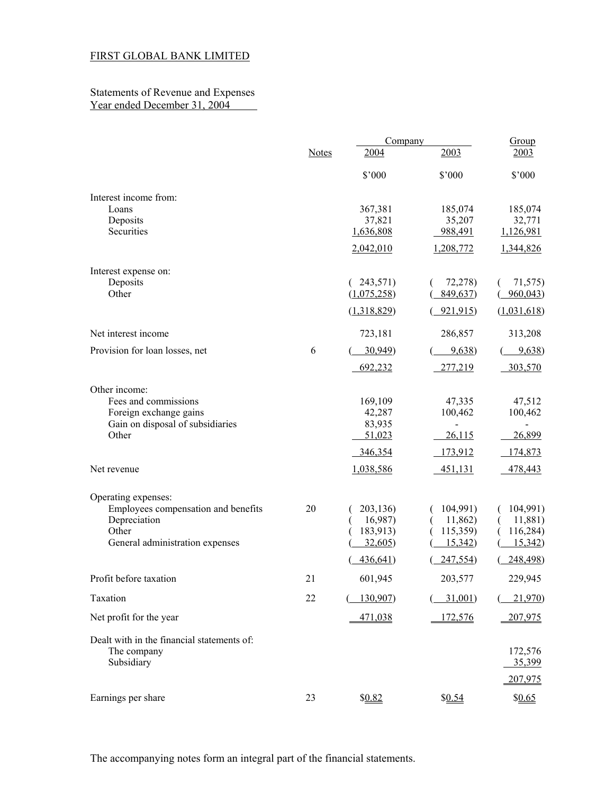#### Statements of Revenue and Expenses Year ended December 31, 2004

|                                                            |              | Company                 |                     | Group               |
|------------------------------------------------------------|--------------|-------------------------|---------------------|---------------------|
|                                                            | <b>Notes</b> | 2004                    | 2003                | 2003                |
|                                                            |              | $$^{\circ}000$          | $$^{\circ}000$      | \$'000              |
| Interest income from:                                      |              |                         |                     |                     |
| Loans                                                      |              | 367,381                 | 185,074             | 185,074             |
| Deposits<br>Securities                                     |              | 37,821<br>1,636,808     | 35,207<br>988,491   | 32,771<br>1,126,981 |
|                                                            |              | 2,042,010               | 1,208,772           | 1,344,826           |
|                                                            |              |                         |                     |                     |
| Interest expense on:                                       |              |                         |                     |                     |
| Deposits<br>Other                                          |              | 243,571)<br>(1,075,258) | 72,278)<br>849,637) | 71,575)<br>960,043  |
|                                                            |              | (1,318,829)             | 921,915             | (1,031,618)         |
| Net interest income                                        |              | 723,181                 | 286,857             | 313,208             |
| Provision for loan losses, net                             | 6            | 30,949                  | 9,638               | 9,638)              |
|                                                            |              | 692,232                 | 277,219             | 303,570             |
| Other income:                                              |              |                         |                     |                     |
| Fees and commissions                                       |              | 169,109                 | 47,335              | 47,512              |
| Foreign exchange gains                                     |              | 42,287                  | 100,462             | 100,462             |
| Gain on disposal of subsidiaries<br>Other                  |              | 83,935<br>51,023        | 26,115              | 26,899              |
|                                                            |              | 346,354                 | 173,912             | 174,873             |
| Net revenue                                                |              | 1,038,586               | 451,131             | 478,443             |
|                                                            |              |                         |                     |                     |
| Operating expenses:<br>Employees compensation and benefits | 20           | 203,136)                | 104,991)            | 104,991)            |
| Depreciation                                               |              | 16,987)                 | 11,862)             | 11,881)             |
| Other                                                      |              | 183,913)                | 115,359)            | 116,284)            |
| General administration expenses                            |              | 32,605)                 | 15,342)             | 15,342)             |
|                                                            |              | 436,641)                | 247,554)            | 248,498)            |
| Profit before taxation                                     | 21           | 601,945                 | 203,577             | 229,945             |
| Taxation                                                   | 22           | 130,907                 | 31,001              | 21,970              |
| Net profit for the year                                    |              | 471,038                 | 172,576             | 207,975             |
| Dealt with in the financial statements of:                 |              |                         |                     |                     |
| The company                                                |              |                         |                     | 172,576             |
| Subsidiary                                                 |              |                         |                     | 35,399              |
|                                                            |              |                         |                     | 207,975             |
| Earnings per share                                         | 23           | \$0.82                  | \$0.54              | \$0.65              |

The accompanying notes form an integral part of the financial statements.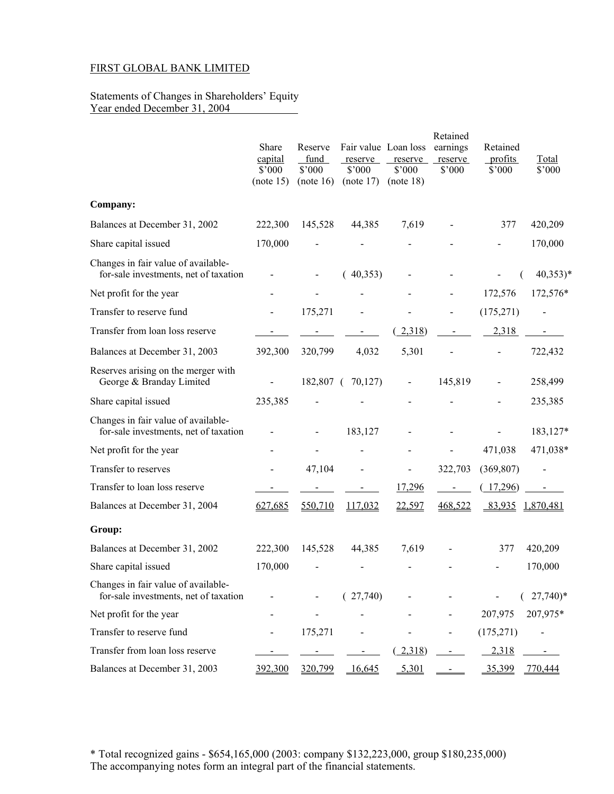#### Statements of Changes in Shareholders' Equity Year ended December 31, 2004

|                                                                              | Share<br>capital<br>\$'000<br>(note 15) | Reserve<br>fund<br>\$'000<br>(note 16) | Fair value Loan loss<br>reserve<br>$$^{\circ}000$<br>(note 17) | reserve<br>$$^{\circ}000$<br>(note 18) | Retained<br>earnings<br>reserve<br>\$'000 | Retained<br>profits<br>\$'000 | Total<br>\$'000       |
|------------------------------------------------------------------------------|-----------------------------------------|----------------------------------------|----------------------------------------------------------------|----------------------------------------|-------------------------------------------|-------------------------------|-----------------------|
| Company:                                                                     |                                         |                                        |                                                                |                                        |                                           |                               |                       |
| Balances at December 31, 2002                                                | 222,300                                 | 145,528                                | 44,385                                                         | 7,619                                  |                                           | 377                           | 420,209               |
| Share capital issued                                                         | 170,000                                 |                                        |                                                                |                                        |                                           |                               | 170,000               |
| Changes in fair value of available-<br>for-sale investments, net of taxation |                                         |                                        | (40,353)                                                       |                                        |                                           |                               | $40,353)*$            |
| Net profit for the year                                                      |                                         |                                        |                                                                |                                        |                                           | 172,576                       | 172,576*              |
| Transfer to reserve fund                                                     |                                         | 175,271                                |                                                                |                                        |                                           | (175, 271)                    | $\blacksquare$        |
| Transfer from loan loss reserve                                              |                                         | $\sim 100$                             | $\blacksquare$                                                 | 2,318                                  | $\blacksquare$                            | 2,318                         | $\sim$                |
| Balances at December 31, 2003                                                | 392,300                                 | 320,799                                | 4,032                                                          | 5,301                                  |                                           | $\overline{\phantom{0}}$      | 722,432               |
| Reserves arising on the merger with<br>George & Branday Limited              |                                         |                                        | 182,807 ( 70,127)                                              | $\qquad \qquad \blacksquare$           | 145,819                                   |                               | 258,499               |
| Share capital issued                                                         | 235,385                                 |                                        |                                                                |                                        |                                           |                               | 235,385               |
| Changes in fair value of available-<br>for-sale investments, net of taxation |                                         |                                        | 183,127                                                        |                                        |                                           |                               | 183,127*              |
| Net profit for the year                                                      |                                         |                                        |                                                                |                                        |                                           | 471,038                       | 471,038*              |
| Transfer to reserves                                                         |                                         | 47,104                                 | $\overline{a}$                                                 | $\qquad \qquad \blacksquare$           | 322,703                                   | (369, 807)                    |                       |
| Transfer to loan loss reserve                                                |                                         | $\blacksquare$                         | $\blacksquare$                                                 | 17,296                                 | $\blacksquare$                            | (17,296)                      | $\blacksquare$        |
| Balances at December 31, 2004                                                | 627,685                                 | 550,710                                | 117,032                                                        | 22,597                                 | 468,522                                   | 83,935                        | 1,870,481             |
| Group:                                                                       |                                         |                                        |                                                                |                                        |                                           |                               |                       |
| Balances at December 31, 2002                                                | 222,300                                 | 145,528                                | 44,385                                                         | 7,619                                  |                                           | 377                           | 420,209               |
| Share capital issued                                                         | 170,000                                 |                                        |                                                                |                                        |                                           |                               | 170,000               |
| Changes in fair value of available-<br>for-sale investments, net of taxation |                                         |                                        | (27,740)                                                       |                                        |                                           |                               | $27,740$ <sup>*</sup> |
| Net profit for the year                                                      |                                         |                                        |                                                                |                                        |                                           | 207,975                       | 207,975*              |
| Transfer to reserve fund                                                     |                                         | 175,271                                |                                                                |                                        |                                           | (175, 271)                    |                       |
| Transfer from loan loss reserve                                              |                                         |                                        |                                                                | (2,318)                                |                                           | 2,318                         |                       |
| Balances at December 31, 2003                                                | 392,300                                 | 320,799                                | 16,645                                                         | 5,301                                  |                                           | 35,399                        | 770,444               |

\* Total recognized gains - \$654,165,000 (2003: company \$132,223,000, group \$180,235,000) The accompanying notes form an integral part of the financial statements.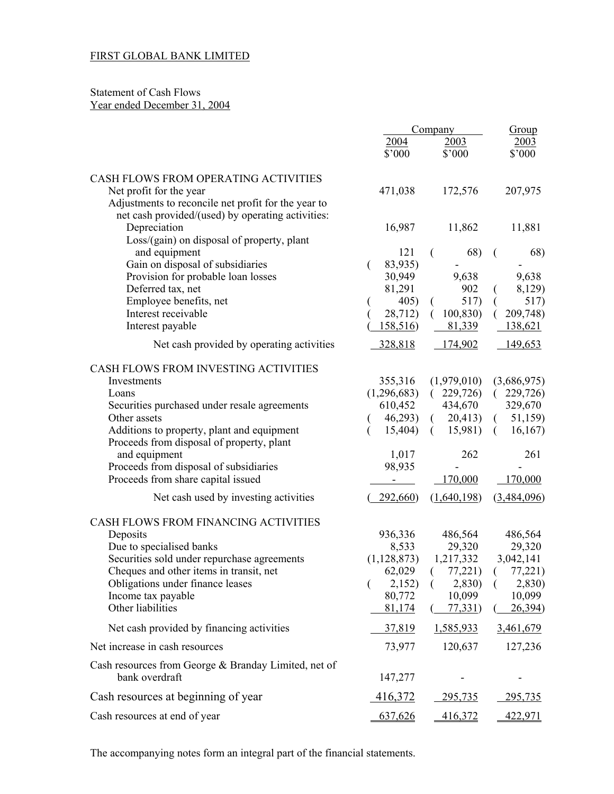## Statement of Cash Flows Year ended December 31, 2004

|                                                                                         | Company        | Group               |                     |
|-----------------------------------------------------------------------------------------|----------------|---------------------|---------------------|
|                                                                                         | 2004           | 2003                | 2003                |
|                                                                                         | \$'000         | \$'000              | \$'000              |
| CASH FLOWS FROM OPERATING ACTIVITIES                                                    |                |                     |                     |
| Net profit for the year                                                                 | 471,038        | 172,576             | 207,975             |
| Adjustments to reconcile net profit for the year to                                     |                |                     |                     |
| net cash provided/(used) by operating activities:                                       |                |                     |                     |
| Depreciation                                                                            | 16,987         | 11,862              | 11,881              |
| Loss/(gain) on disposal of property, plant                                              |                |                     |                     |
| and equipment                                                                           | 121            | 68)                 | 68)                 |
| Gain on disposal of subsidiaries                                                        | 83,935)<br>€   |                     |                     |
| Provision for probable loan losses                                                      | 30,949         | 9,638<br>902        | 9,638               |
| Deferred tax, net<br>Employee benefits, net                                             | 81,291<br>405) | 517)                | 8,129)<br>517)      |
| Interest receivable                                                                     | 28,712)        | 100,830<br>$\left($ | 209,748)<br>€       |
| Interest payable                                                                        | 158,516        | 81,339              | 138,621             |
|                                                                                         | 328,818        |                     | 149,653             |
| Net cash provided by operating activities                                               |                | 174,902             |                     |
| CASH FLOWS FROM INVESTING ACTIVITIES                                                    |                |                     |                     |
| Investments                                                                             | 355,316        | (1,979,010)         | (3,686,975)         |
| Loans                                                                                   | (1,296,683)    | (229,726)           | (229,726)           |
| Securities purchased under resale agreements                                            | 610,452        | 434,670             | 329,670             |
| Other assets                                                                            | 46,293)        | 20,413)<br>$\left($ | 51,159)<br>$\left($ |
| Additions to property, plant and equipment<br>Proceeds from disposal of property, plant | 15,404)        | 15,981)<br>$\left($ | 16,167<br>$\left($  |
| and equipment                                                                           | 1,017          | 262                 | 261                 |
| Proceeds from disposal of subsidiaries                                                  | 98,935         |                     |                     |
| Proceeds from share capital issued                                                      |                | 170,000             | 170,000             |
| Net cash used by investing activities                                                   | 292,660        | (1,640,198)         | (3,484,096)         |
| CASH FLOWS FROM FINANCING ACTIVITIES                                                    |                |                     |                     |
| Deposits                                                                                | 936,336        | 486,564             | 486,564             |
| Due to specialised banks                                                                | 8,533          | 29,320              | 29,320              |
| Securities sold under repurchase agreements                                             | (1, 128, 873)  | 1,217,332           | 3,042,141           |
| Cheques and other items in transit, net                                                 | 62,029         | (77,221)            | (77,221)            |
| Obligations under finance leases                                                        | 2,152)<br>€    | 2,830)<br>(         | 2,830)<br>$\left($  |
| Income tax payable                                                                      | 80,772         | 10,099              | 10,099              |
| Other liabilities                                                                       | 81,174         | 77,331)             | 26,394)             |
| Net cash provided by financing activities                                               | 37,819         | 1,585,933           | 3,461,679           |
| Net increase in cash resources                                                          | 73,977         | 120,637             | 127,236             |
| Cash resources from George & Branday Limited, net of                                    |                |                     |                     |
| bank overdraft                                                                          | 147,277        |                     |                     |
| Cash resources at beginning of year                                                     | 416,372        | 295,735             | <u>295,735</u>      |
| Cash resources at end of year                                                           | 637,626        | 416,372             | 422,971             |

The accompanying notes form an integral part of the financial statements.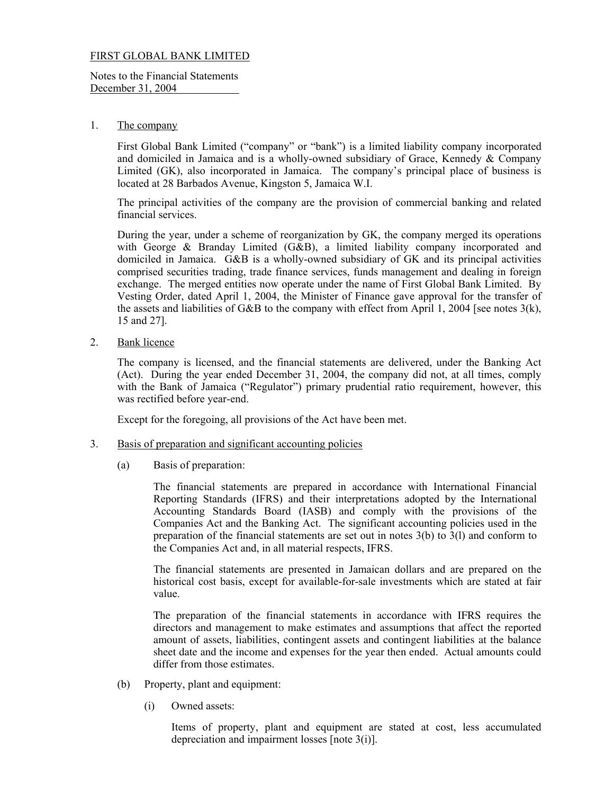Notes to the Financial Statements December 31, 2004

### 1. The company

 First Global Bank Limited ("company" or "bank") is a limited liability company incorporated and domiciled in Jamaica and is a wholly-owned subsidiary of Grace, Kennedy & Company Limited (GK), also incorporated in Jamaica. The company's principal place of business is located at 28 Barbados Avenue, Kingston 5, Jamaica W.I.

The principal activities of the company are the provision of commercial banking and related financial services.

During the year, under a scheme of reorganization by GK, the company merged its operations with George & Branday Limited (G&B), a limited liability company incorporated and domiciled in Jamaica. G&B is a wholly-owned subsidiary of GK and its principal activities comprised securities trading, trade finance services, funds management and dealing in foreign exchange. The merged entities now operate under the name of First Global Bank Limited. By Vesting Order, dated April 1, 2004, the Minister of Finance gave approval for the transfer of the assets and liabilities of G&B to the company with effect from April 1, 2004 [see notes 3(k), 15 and 27].

2. Bank licence

 The company is licensed, and the financial statements are delivered, under the Banking Act (Act). During the year ended December 31, 2004, the company did not, at all times, comply with the Bank of Jamaica ("Regulator") primary prudential ratio requirement, however, this was rectified before year-end.

Except for the foregoing, all provisions of the Act have been met.

- 3. Basis of preparation and significant accounting policies
	- (a) Basis of preparation:

 The financial statements are prepared in accordance with International Financial Reporting Standards (IFRS) and their interpretations adopted by the International Accounting Standards Board (IASB) and comply with the provisions of the Companies Act and the Banking Act. The significant accounting policies used in the preparation of the financial statements are set out in notes  $3(b)$  to  $3(1)$  and conform to the Companies Act and, in all material respects, IFRS.

The financial statements are presented in Jamaican dollars and are prepared on the historical cost basis, except for available-for-sale investments which are stated at fair value.

The preparation of the financial statements in accordance with IFRS requires the directors and management to make estimates and assumptions that affect the reported amount of assets, liabilities, contingent assets and contingent liabilities at the balance sheet date and the income and expenses for the year then ended. Actual amounts could differ from those estimates.

- (b) Property, plant and equipment:
	- (i) Owned assets:

 Items of property, plant and equipment are stated at cost, less accumulated depreciation and impairment losses [note 3(i)].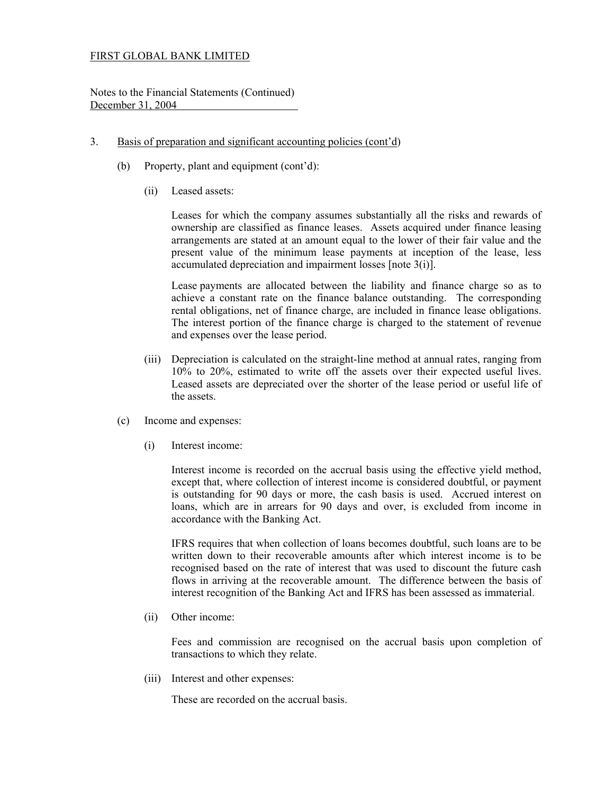Notes to the Financial Statements (Continued) December 31, 2004

### 3. Basis of preparation and significant accounting policies (cont'd)

- (b) Property, plant and equipment (cont'd):
	- (ii) Leased assets:

 Leases for which the company assumes substantially all the risks and rewards of ownership are classified as finance leases. Assets acquired under finance leasing arrangements are stated at an amount equal to the lower of their fair value and the present value of the minimum lease payments at inception of the lease, less accumulated depreciation and impairment losses [note 3(i)].

 Lease payments are allocated between the liability and finance charge so as to achieve a constant rate on the finance balance outstanding. The corresponding rental obligations, net of finance charge, are included in finance lease obligations. The interest portion of the finance charge is charged to the statement of revenue and expenses over the lease period.

- (iii) Depreciation is calculated on the straight-line method at annual rates, ranging from 10% to 20%, estimated to write off the assets over their expected useful lives. Leased assets are depreciated over the shorter of the lease period or useful life of the assets.
- (c) Income and expenses:
	- (i) Interest income:

 Interest income is recorded on the accrual basis using the effective yield method, except that, where collection of interest income is considered doubtful, or payment is outstanding for 90 days or more, the cash basis is used. Accrued interest on loans, which are in arrears for 90 days and over, is excluded from income in accordance with the Banking Act.

 IFRS requires that when collection of loans becomes doubtful, such loans are to be written down to their recoverable amounts after which interest income is to be recognised based on the rate of interest that was used to discount the future cash flows in arriving at the recoverable amount. The difference between the basis of interest recognition of the Banking Act and IFRS has been assessed as immaterial.

(ii) Other income:

Fees and commission are recognised on the accrual basis upon completion of transactions to which they relate.

(iii) Interest and other expenses:

These are recorded on the accrual basis.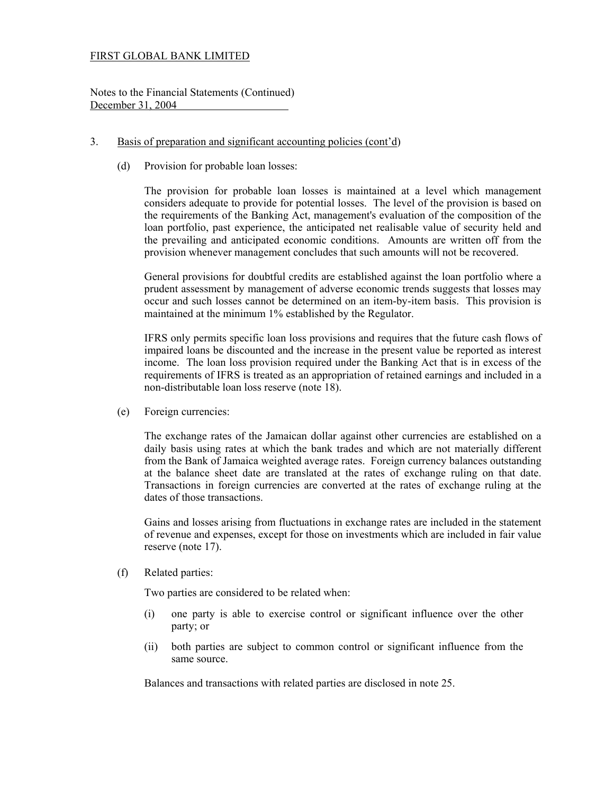Notes to the Financial Statements (Continued) December 31, 2004

### 3. Basis of preparation and significant accounting policies (cont'd)

(d) Provision for probable loan losses:

 The provision for probable loan losses is maintained at a level which management considers adequate to provide for potential losses. The level of the provision is based on the requirements of the Banking Act, management's evaluation of the composition of the loan portfolio, past experience, the anticipated net realisable value of security held and the prevailing and anticipated economic conditions. Amounts are written off from the provision whenever management concludes that such amounts will not be recovered.

 General provisions for doubtful credits are established against the loan portfolio where a prudent assessment by management of adverse economic trends suggests that losses may occur and such losses cannot be determined on an item-by-item basis. This provision is maintained at the minimum 1% established by the Regulator.

 IFRS only permits specific loan loss provisions and requires that the future cash flows of impaired loans be discounted and the increase in the present value be reported as interest income. The loan loss provision required under the Banking Act that is in excess of the requirements of IFRS is treated as an appropriation of retained earnings and included in a non-distributable loan loss reserve (note 18).

(e) Foreign currencies:

 The exchange rates of the Jamaican dollar against other currencies are established on a daily basis using rates at which the bank trades and which are not materially different from the Bank of Jamaica weighted average rates. Foreign currency balances outstanding at the balance sheet date are translated at the rates of exchange ruling on that date. Transactions in foreign currencies are converted at the rates of exchange ruling at the dates of those transactions.

 Gains and losses arising from fluctuations in exchange rates are included in the statement of revenue and expenses, except for those on investments which are included in fair value reserve (note 17).

(f) Related parties:

Two parties are considered to be related when:

- (i) one party is able to exercise control or significant influence over the other party; or
- (ii) both parties are subject to common control or significant influence from the same source.

Balances and transactions with related parties are disclosed in note 25.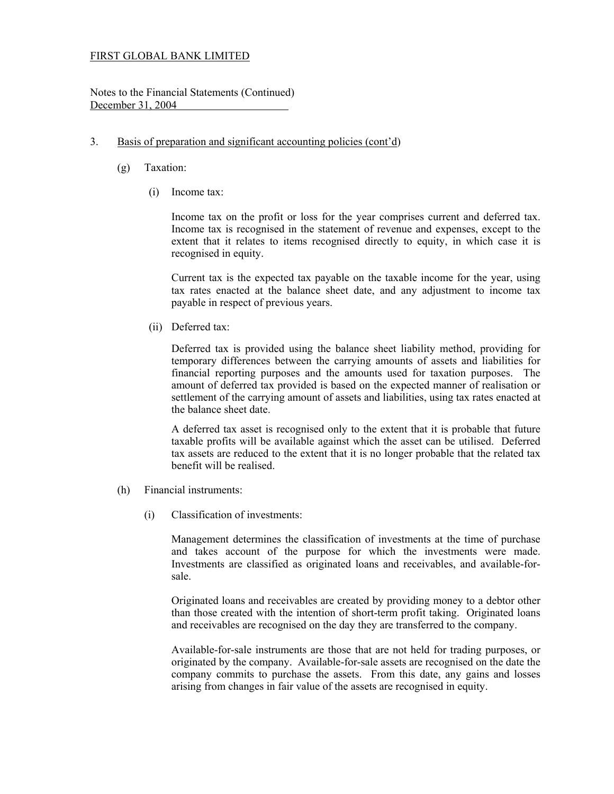Notes to the Financial Statements (Continued) December 31, 2004

### 3. Basis of preparation and significant accounting policies (cont'd)

- (g) Taxation:
	- (i) Income tax:

 Income tax on the profit or loss for the year comprises current and deferred tax. Income tax is recognised in the statement of revenue and expenses, except to the extent that it relates to items recognised directly to equity, in which case it is recognised in equity.

 Current tax is the expected tax payable on the taxable income for the year, using tax rates enacted at the balance sheet date, and any adjustment to income tax payable in respect of previous years.

(ii) Deferred tax:

 Deferred tax is provided using the balance sheet liability method, providing for temporary differences between the carrying amounts of assets and liabilities for financial reporting purposes and the amounts used for taxation purposes. The amount of deferred tax provided is based on the expected manner of realisation or settlement of the carrying amount of assets and liabilities, using tax rates enacted at the balance sheet date.

A deferred tax asset is recognised only to the extent that it is probable that future taxable profits will be available against which the asset can be utilised. Deferred tax assets are reduced to the extent that it is no longer probable that the related tax benefit will be realised.

- (h) Financial instruments:
	- (i) Classification of investments:

 Management determines the classification of investments at the time of purchase and takes account of the purpose for which the investments were made. Investments are classified as originated loans and receivables, and available-forsale.

 Originated loans and receivables are created by providing money to a debtor other than those created with the intention of short-term profit taking. Originated loans and receivables are recognised on the day they are transferred to the company.

 Available-for-sale instruments are those that are not held for trading purposes, or originated by the company. Available-for-sale assets are recognised on the date the company commits to purchase the assets. From this date, any gains and losses arising from changes in fair value of the assets are recognised in equity.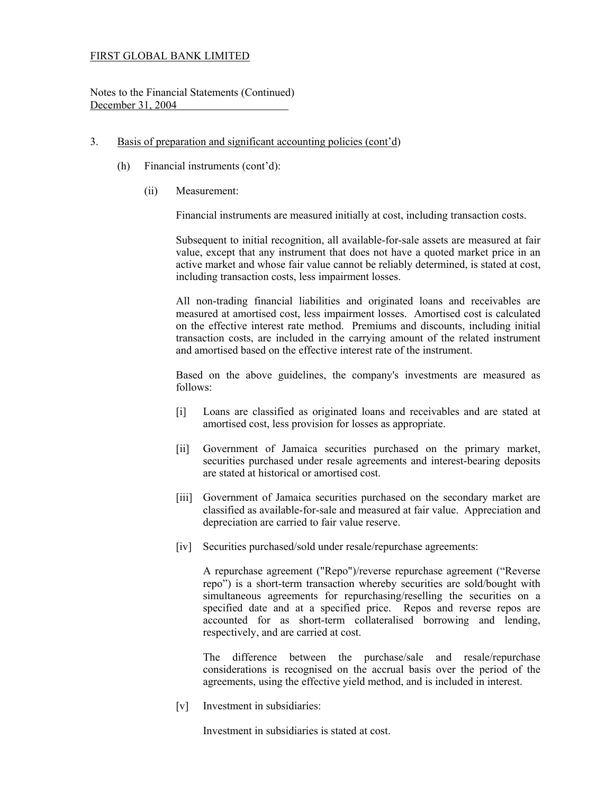Notes to the Financial Statements (Continued) December 31, 2004

- 3. Basis of preparation and significant accounting policies (cont'd)
	- (h) Financial instruments (cont'd):
		- (ii) Measurement:

Financial instruments are measured initially at cost, including transaction costs.

 Subsequent to initial recognition, all available-for-sale assets are measured at fair value, except that any instrument that does not have a quoted market price in an active market and whose fair value cannot be reliably determined, is stated at cost, including transaction costs, less impairment losses.

 All non-trading financial liabilities and originated loans and receivables are measured at amortised cost, less impairment losses. Amortised cost is calculated on the effective interest rate method. Premiums and discounts, including initial transaction costs, are included in the carrying amount of the related instrument and amortised based on the effective interest rate of the instrument.

 Based on the above guidelines, the company's investments are measured as follows:

- [i] Loans are classified as originated loans and receivables and are stated at amortised cost, less provision for losses as appropriate.
- [ii] Government of Jamaica securities purchased on the primary market, securities purchased under resale agreements and interest-bearing deposits are stated at historical or amortised cost.
- [iii] Government of Jamaica securities purchased on the secondary market are classified as available-for-sale and measured at fair value. Appreciation and depreciation are carried to fair value reserve.
- [iv] Securities purchased/sold under resale/repurchase agreements:

 A repurchase agreement ("Repo")/reverse repurchase agreement ("Reverse repo") is a short-term transaction whereby securities are sold/bought with simultaneous agreements for repurchasing/reselling the securities on a specified date and at a specified price. Repos and reverse repos are accounted for as short-term collateralised borrowing and lending, respectively, and are carried at cost.

 The difference between the purchase/sale and resale/repurchase considerations is recognised on the accrual basis over the period of the agreements, using the effective yield method, and is included in interest.

[v] Investment in subsidiaries:

Investment in subsidiaries is stated at cost.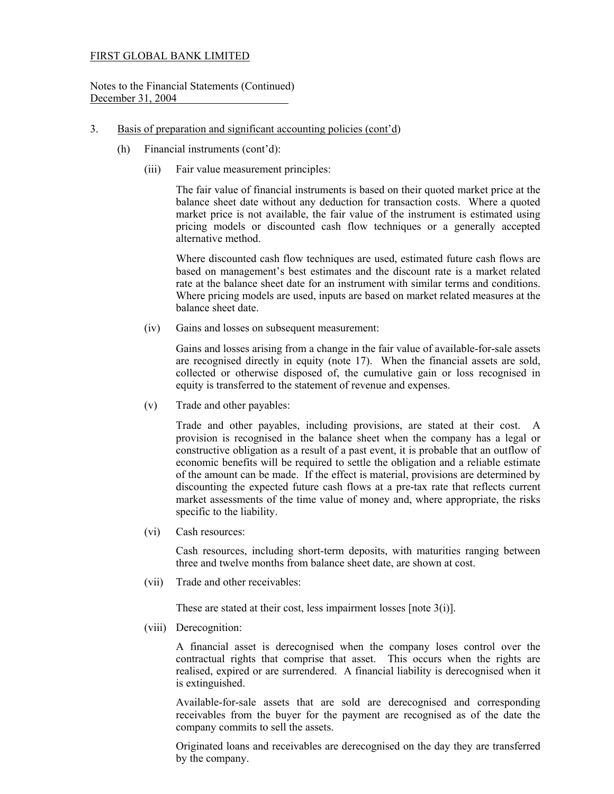Notes to the Financial Statements (Continued) December 31, 2004

- 3. Basis of preparation and significant accounting policies (cont'd)
	- (h) Financial instruments (cont'd):
		- (iii) Fair value measurement principles:

 The fair value of financial instruments is based on their quoted market price at the balance sheet date without any deduction for transaction costs. Where a quoted market price is not available, the fair value of the instrument is estimated using pricing models or discounted cash flow techniques or a generally accepted alternative method.

 Where discounted cash flow techniques are used, estimated future cash flows are based on management's best estimates and the discount rate is a market related rate at the balance sheet date for an instrument with similar terms and conditions. Where pricing models are used, inputs are based on market related measures at the balance sheet date.

(iv) Gains and losses on subsequent measurement:

 Gains and losses arising from a change in the fair value of available-for-sale assets are recognised directly in equity (note 17). When the financial assets are sold, collected or otherwise disposed of, the cumulative gain or loss recognised in equity is transferred to the statement of revenue and expenses.

(v) Trade and other payables:

Trade and other payables, including provisions, are stated at their cost. A provision is recognised in the balance sheet when the company has a legal or constructive obligation as a result of a past event, it is probable that an outflow of economic benefits will be required to settle the obligation and a reliable estimate of the amount can be made. If the effect is material, provisions are determined by discounting the expected future cash flows at a pre-tax rate that reflects current market assessments of the time value of money and, where appropriate, the risks specific to the liability.

 (vi) Cash resources:

> Cash resources, including short-term deposits, with maturities ranging between three and twelve months from balance sheet date, are shown at cost.

(vii) Trade and other receivables:  $\overline{\phantom{0}}$ 

These are stated at their cost, less impairment losses [note 3(i)].

(viii) Derecognition:

 A financial asset is derecognised when the company loses control over the contractual rights that comprise that asset. This occurs when the rights are realised, expired or are surrendered. A financial liability is derecognised when it is extinguished.

 Available-for-sale assets that are sold are derecognised and corresponding receivables from the buyer for the payment are recognised as of the date the company commits to sell the assets.

 Originated loans and receivables are derecognised on the day they are transferred by the company.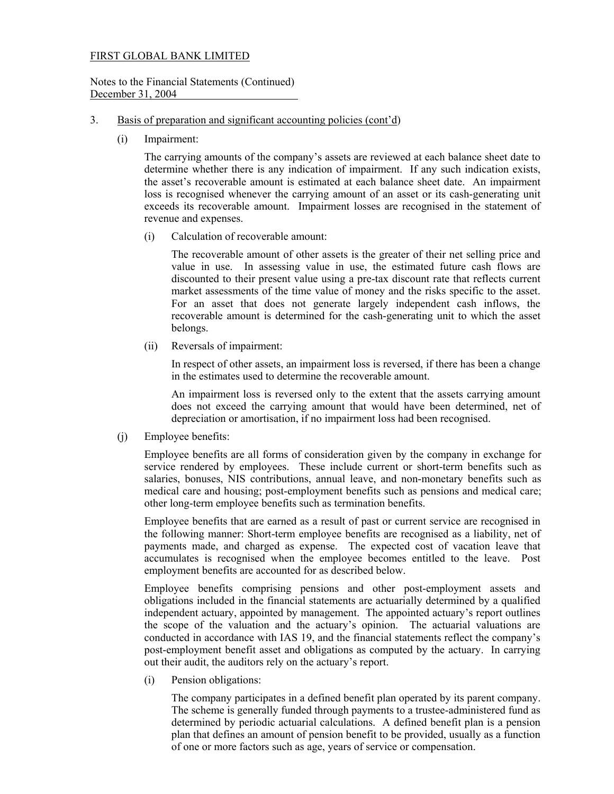#### Notes to the Financial Statements (Continued) December 31, 2004

#### 3. Basis of preparation and significant accounting policies (cont'd)

(i) Impairment:

The carrying amounts of the company's assets are reviewed at each balance sheet date to determine whether there is any indication of impairment. If any such indication exists, the asset's recoverable amount is estimated at each balance sheet date. An impairment loss is recognised whenever the carrying amount of an asset or its cash-generating unit exceeds its recoverable amount. Impairment losses are recognised in the statement of revenue and expenses.

(i) Calculation of recoverable amount:

 The recoverable amount of other assets is the greater of their net selling price and value in use. In assessing value in use, the estimated future cash flows are discounted to their present value using a pre-tax discount rate that reflects current market assessments of the time value of money and the risks specific to the asset. For an asset that does not generate largely independent cash inflows, the recoverable amount is determined for the cash-generating unit to which the asset belongs.

(ii) Reversals of impairment:

 In respect of other assets, an impairment loss is reversed, if there has been a change in the estimates used to determine the recoverable amount.

 An impairment loss is reversed only to the extent that the assets carrying amount does not exceed the carrying amount that would have been determined, net of depreciation or amortisation, if no impairment loss had been recognised.

(j) Employee benefits:

 Employee benefits are all forms of consideration given by the company in exchange for service rendered by employees. These include current or short-term benefits such as salaries, bonuses, NIS contributions, annual leave, and non-monetary benefits such as medical care and housing; post-employment benefits such as pensions and medical care; other long-term employee benefits such as termination benefits.

Employee benefits that are earned as a result of past or current service are recognised in the following manner: Short-term employee benefits are recognised as a liability, net of payments made, and charged as expense. The expected cost of vacation leave that accumulates is recognised when the employee becomes entitled to the leave. Post employment benefits are accounted for as described below.

Employee benefits comprising pensions and other post-employment assets and obligations included in the financial statements are actuarially determined by a qualified independent actuary, appointed by management. The appointed actuary's report outlines the scope of the valuation and the actuary's opinion. The actuarial valuations are conducted in accordance with IAS 19, and the financial statements reflect the company's post-employment benefit asset and obligations as computed by the actuary. In carrying out their audit, the auditors rely on the actuary's report.

(i) Pension obligations:

 The company participates in a defined benefit plan operated by its parent company. The scheme is generally funded through payments to a trustee-administered fund as determined by periodic actuarial calculations. A defined benefit plan is a pension plan that defines an amount of pension benefit to be provided, usually as a function of one or more factors such as age, years of service or compensation.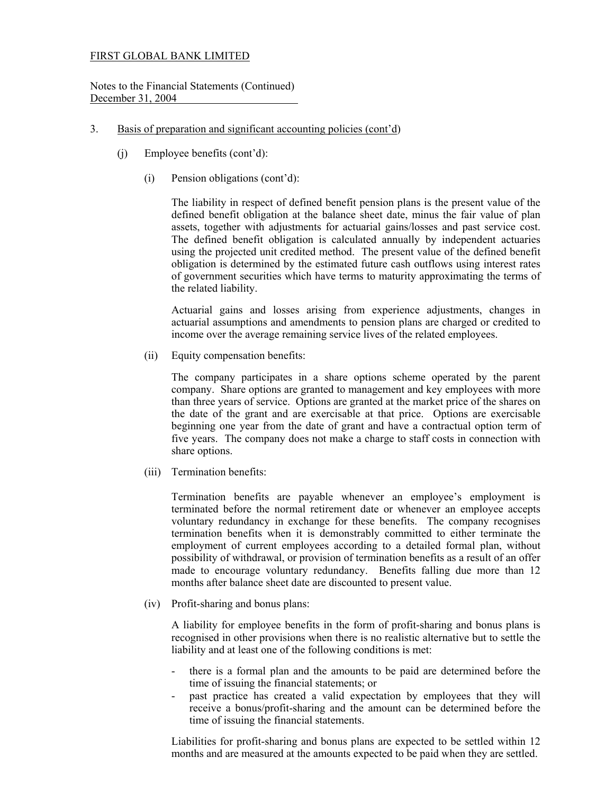Notes to the Financial Statements (Continued) December 31, 2004

### 3. Basis of preparation and significant accounting policies (cont'd)

- (j) Employee benefits (cont'd):
	- (i) Pension obligations (cont'd):

 The liability in respect of defined benefit pension plans is the present value of the defined benefit obligation at the balance sheet date, minus the fair value of plan assets, together with adjustments for actuarial gains/losses and past service cost. The defined benefit obligation is calculated annually by independent actuaries using the projected unit credited method. The present value of the defined benefit obligation is determined by the estimated future cash outflows using interest rates of government securities which have terms to maturity approximating the terms of the related liability.

 Actuarial gains and losses arising from experience adjustments, changes in actuarial assumptions and amendments to pension plans are charged or credited to income over the average remaining service lives of the related employees.

(ii) Equity compensation benefits:

The company participates in a share options scheme operated by the parent company. Share options are granted to management and key employees with more than three years of service. Options are granted at the market price of the shares on the date of the grant and are exercisable at that price. Options are exercisable beginning one year from the date of grant and have a contractual option term of five years. The company does not make a charge to staff costs in connection with share options.

(iii) Termination benefits:

Termination benefits are payable whenever an employee's employment is terminated before the normal retirement date or whenever an employee accepts voluntary redundancy in exchange for these benefits. The company recognises termination benefits when it is demonstrably committed to either terminate the employment of current employees according to a detailed formal plan, without possibility of withdrawal, or provision of termination benefits as a result of an offer made to encourage voluntary redundancy. Benefits falling due more than 12 months after balance sheet date are discounted to present value.

(iv) Profit-sharing and bonus plans:

A liability for employee benefits in the form of profit-sharing and bonus plans is recognised in other provisions when there is no realistic alternative but to settle the liability and at least one of the following conditions is met:

- there is a formal plan and the amounts to be paid are determined before the time of issuing the financial statements; or
- past practice has created a valid expectation by employees that they will receive a bonus/profit-sharing and the amount can be determined before the time of issuing the financial statements.

Liabilities for profit-sharing and bonus plans are expected to be settled within 12 months and are measured at the amounts expected to be paid when they are settled.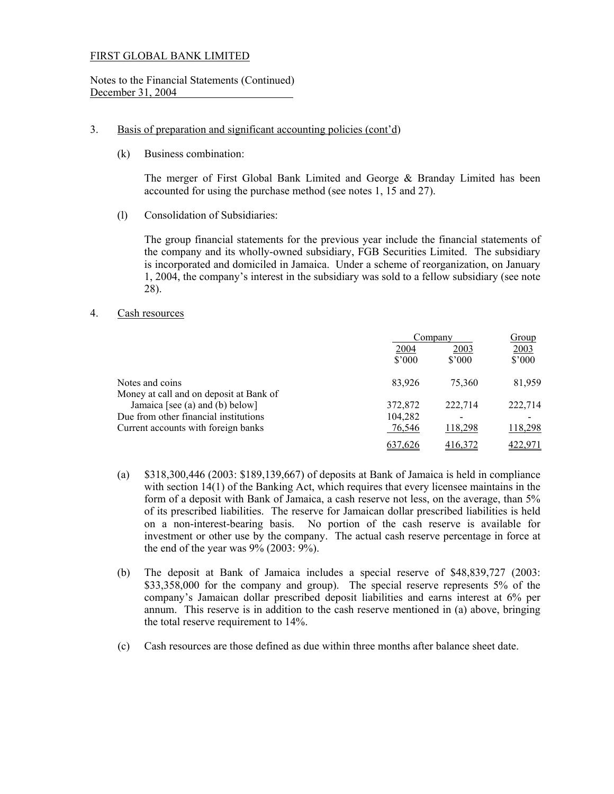#### Notes to the Financial Statements (Continued) December 31, 2004

### 3. Basis of preparation and significant accounting policies (cont'd)

(k) Business combination:

The merger of First Global Bank Limited and George & Branday Limited has been accounted for using the purchase method (see notes 1, 15 and 27).

(l) Consolidation of Subsidiaries:

The group financial statements for the previous year include the financial statements of the company and its wholly-owned subsidiary, FGB Securities Limited. The subsidiary is incorporated and domiciled in Jamaica. Under a scheme of reorganization, on January 1, 2004, the company's interest in the subsidiary was sold to a fellow subsidiary (see note 28).

## 4. Cash resources

|                                         | Company                |                        | Group          |  |
|-----------------------------------------|------------------------|------------------------|----------------|--|
|                                         | 2004<br>$$^{\circ}000$ | 2003<br>$$^{\circ}000$ | 2003<br>\$'000 |  |
| Notes and coins                         | 83,926                 | 75.360                 | 81,959         |  |
| Money at call and on deposit at Bank of |                        |                        |                |  |
| Jamaica [see (a) and (b) below]         | 372,872                | 222,714                | 222,714        |  |
| Due from other financial institutions   | 104,282                |                        |                |  |
| Current accounts with foreign banks     | 76,546                 | 118,298                | 118,298        |  |
|                                         | .626                   |                        |                |  |

- (a) \$318,300,446 (2003: \$189,139,667) of deposits at Bank of Jamaica is held in compliance with section 14(1) of the Banking Act, which requires that every licensee maintains in the form of a deposit with Bank of Jamaica, a cash reserve not less, on the average, than 5% of its prescribed liabilities. The reserve for Jamaican dollar prescribed liabilities is held on a non-interest-bearing basis. No portion of the cash reserve is available for investment or other use by the company. The actual cash reserve percentage in force at the end of the year was  $9\%$  (2003:  $9\%$ ).
- (b) The deposit at Bank of Jamaica includes a special reserve of \$48,839,727 (2003: \$33,358,000 for the company and group). The special reserve represents 5% of the company's Jamaican dollar prescribed deposit liabilities and earns interest at 6% per annum. This reserve is in addition to the cash reserve mentioned in (a) above, bringing the total reserve requirement to 14%.
- (c) Cash resources are those defined as due within three months after balance sheet date.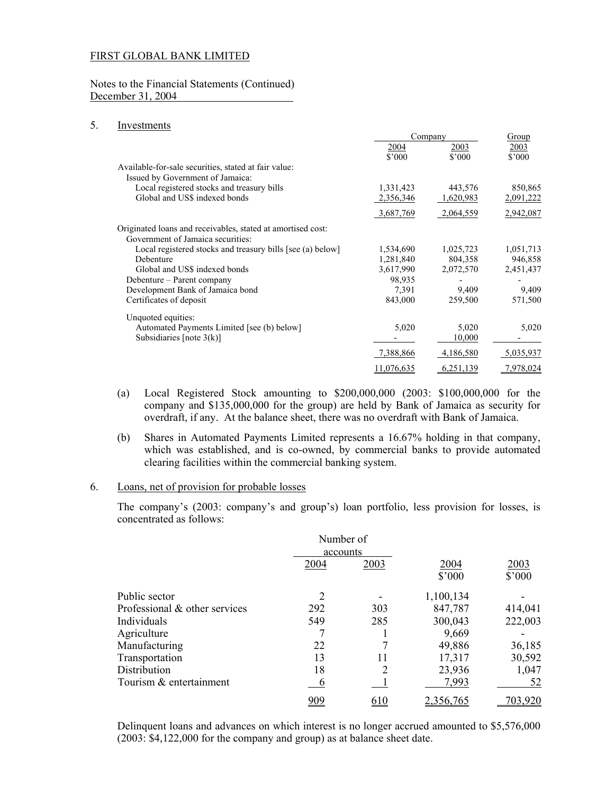#### Notes to the Financial Statements (Continued) December 31, 2004

#### 5. Investments

|                                                             |                               | Company                |                        |
|-------------------------------------------------------------|-------------------------------|------------------------|------------------------|
|                                                             | <u>2004</u><br>$$^{\circ}000$ | 2003<br>$$^{\circ}000$ | 2003<br>$$^{\circ}000$ |
| Available-for-sale securities, stated at fair value:        |                               |                        |                        |
| Issued by Government of Jamaica:                            |                               |                        |                        |
| Local registered stocks and treasury bills                  | 1,331,423                     | 443,576                | 850,865                |
| Global and US\$ indexed bonds                               | 2,356,346                     | 1,620,983              | 2,091,222              |
|                                                             | 3,687,769                     | 2,064,559              | 2,942,087              |
| Originated loans and receivables, stated at amortised cost: |                               |                        |                        |
| Government of Jamaica securities:                           |                               |                        |                        |
| Local registered stocks and treasury bills [see (a) below]  | 1,534,690                     | 1,025,723              | 1,051,713              |
| Debenture                                                   | 1,281,840                     | 804,358                | 946,858                |
| Global and US\$ indexed bonds                               | 3,617,990                     | 2,072,570              | 2,451,437              |
| Debenture – Parent company                                  | 98,935                        |                        |                        |
| Development Bank of Jamaica bond                            | 7,391                         | 9,409                  | 9,409                  |
| Certificates of deposit                                     | 843,000                       | 259,500                | 571,500                |
| Unquoted equities:                                          |                               |                        |                        |
| Automated Payments Limited [see (b) below]                  | 5,020                         | 5,020                  | 5,020                  |
| Subsidiaries [note $3(k)$ ]                                 |                               | 10,000                 |                        |
|                                                             | 7,388,866                     | 4,186,580              | 5,035,937              |
|                                                             | 11,076,635                    | 6,251,139              | 7,978,024              |

- (a) Local Registered Stock amounting to \$200,000,000 (2003: \$100,000,000 for the company and \$135,000,000 for the group) are held by Bank of Jamaica as security for overdraft, if any. At the balance sheet, there was no overdraft with Bank of Jamaica.
- (b) Shares in Automated Payments Limited represents a 16.67% holding in that company, which was established, and is co-owned, by commercial banks to provide automated clearing facilities within the commercial banking system.

#### 6. Loans, net of provision for probable losses

The company's (2003: company's and group's) loan portfolio, less provision for losses, is concentrated as follows:

|                               | Number of<br>accounts |      |                  |                         |
|-------------------------------|-----------------------|------|------------------|-------------------------|
|                               | 2004                  | 2003 | 2004<br>\$'000   | 2003<br>$$^{\prime}000$ |
| Public sector                 | 2                     |      | 1,100,134        |                         |
| Professional & other services | 292                   | 303  | 847,787          | 414,041                 |
| Individuals                   | 549                   | 285  | 300,043          | 222,003                 |
| Agriculture                   |                       |      | 9,669            |                         |
| Manufacturing                 | 22                    |      | 49,886           | 36,185                  |
| Transportation                | 13                    | 11   | 17,317           | 30,592                  |
| Distribution                  | 18                    |      | 23,936           | 1,047                   |
| Tourism & entertainment       | $\mathfrak b$         |      | 7,993            | 52                      |
|                               | <u>909</u>            | 610  | <u>2,356,765</u> | 703.920                 |

 Delinquent loans and advances on which interest is no longer accrued amounted to \$5,576,000 (2003: \$4,122,000 for the company and group) as at balance sheet date.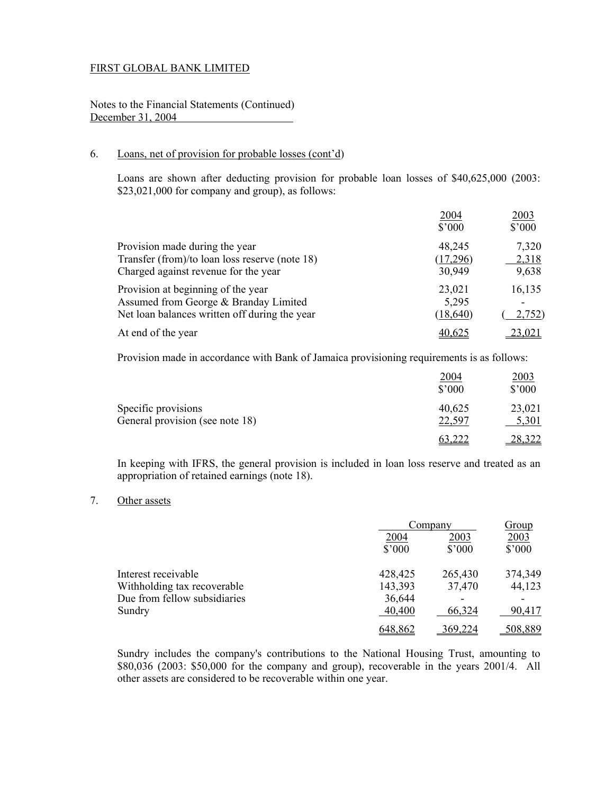Notes to the Financial Statements (Continued) December 31, 2004

## 6. Loans, net of provision for probable losses (cont'd)

 Loans are shown after deducting provision for probable loan losses of \$40,625,000 (2003: \$23,021,000 for company and group), as follows:

|                                                                                                                              | 2004<br>$$^{\circ}000$       | 2003<br>$$^{\prime}000$ |
|------------------------------------------------------------------------------------------------------------------------------|------------------------------|-------------------------|
| Provision made during the year<br>Transfer (from)/to loan loss reserve (note 18)<br>Charged against revenue for the year     | 48,245<br>(17,296)<br>30,949 | 7,320<br>2,318<br>9,638 |
| Provision at beginning of the year<br>Assumed from George & Branday Limited<br>Net loan balances written off during the year | 23,021<br>5,295<br>(18, 640) | 16,135<br>2,752)        |
| At end of the year                                                                                                           | 40,625                       | 23,021                  |

Provision made in accordance with Bank of Jamaica provisioning requirements is as follows:

|                                                        | <u>2004</u><br>$$^{\prime}000$ | 2003<br>$$^{\circ}000$ |
|--------------------------------------------------------|--------------------------------|------------------------|
| Specific provisions<br>General provision (see note 18) | 40,625<br>22,597               | 23,021<br>5,301        |
|                                                        | 63,222                         | 28,322                 |

 In keeping with IFRS, the general provision is included in loan loss reserve and treated as an appropriation of retained earnings (note 18).

#### 7. Other assets

|                              |         | Company         |                 |
|------------------------------|---------|-----------------|-----------------|
|                              | 2004    | 2003            | 2003            |
|                              | \$3000  | $$^{\prime}000$ | $$^{\prime}000$ |
| Interest receivable          | 428,425 | 265,430         | 374,349         |
| Withholding tax recoverable  | 143,393 | 37,470          | 44,123          |
| Due from fellow subsidiaries | 36,644  |                 |                 |
| Sundry                       | 40,400  | 66,324          | 90,417          |
|                              | 648,862 | 369,224         | 508,889         |

 Sundry includes the company's contributions to the National Housing Trust, amounting to \$80,036 (2003: \$50,000 for the company and group), recoverable in the years 2001/4. All other assets are considered to be recoverable within one year.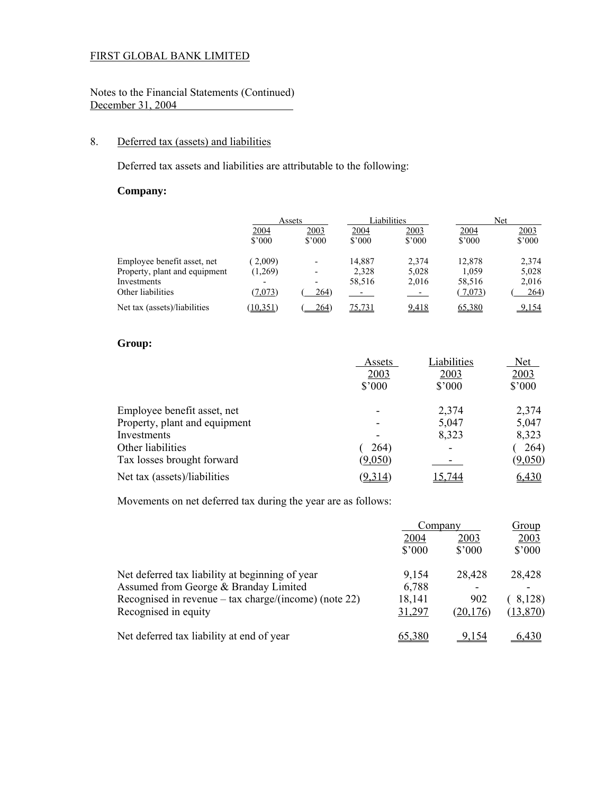## Notes to the Financial Statements (Continued) December 31, 2004

## 8. Deferred tax (assets) and liabilities

Deferred tax assets and liabilities are attributable to the following:

## **Company:**

|                               |                          | Assets                   |                               | Liabilities            |                | Net                           |
|-------------------------------|--------------------------|--------------------------|-------------------------------|------------------------|----------------|-------------------------------|
|                               | <u>2004</u><br>\$3000    | 2003<br>\$3000           | <u>2004</u><br>$$^{\circ}000$ | 2003<br>$$^{\circ}000$ | 2004<br>\$3000 | <u>2003</u><br>$$^{\circ}000$ |
| Employee benefit asset, net   | 2,009)                   |                          | 14,887                        | 2.374                  | 12,878         | 2,374                         |
| Property, plant and equipment | (1,269)                  | $\overline{\phantom{0}}$ | 2.328                         | 5.028                  | 1.059          | 5,028                         |
| Investments                   | $\overline{\phantom{a}}$ | -                        | 58,516                        | 2,016                  | 58,516         | 2,016                         |
| Other liabilities             | (7,073)                  | 264)                     | المستقبل المراد               | المنتقص                | (7,073)        | 264)                          |
| Net tax (assets)/liabilities  | (10.351)                 | 264)                     | 75,731                        | 9,418                  | 65,380         | 9,154                         |

## **Group:**

|                               | Assets          | Liabilities    | <b>Net</b>     |
|-------------------------------|-----------------|----------------|----------------|
|                               | 2003            | 2003           | 2003           |
|                               | $$^{\prime}000$ | $$^{\circ}000$ | $$^{\circ}000$ |
| Employee benefit asset, net   |                 | 2,374          | 2,374          |
| Property, plant and equipment |                 | 5,047          | 5,047          |
| Investments                   |                 | 8,323          | 8,323          |
| Other liabilities             | 264)            |                | 264)           |
| Tax losses brought forward    | (9,050)         |                | (9,050)        |
| Net tax (assets)/liabilities  | (9,314)         | 15.744         | 6,430          |

Movements on net deferred tax during the year are as follows:

|                                                       | Company         |                | Group           |  |
|-------------------------------------------------------|-----------------|----------------|-----------------|--|
|                                                       | 2003<br>2004    |                | 2003            |  |
|                                                       | $$^{\prime}000$ | $$^{\circ}000$ | $$^{\prime}000$ |  |
| Net deferred tax liability at beginning of year       | 9,154           | 28,428         | 28,428          |  |
| Assumed from George & Branday Limited                 | 6,788           |                |                 |  |
| Recognised in revenue – tax charge/(income) (note 22) | 18,141          | 902            | 8,128)          |  |
| Recognised in equity                                  | 31,297          | (20, 176)      | (13,870)        |  |
| Net deferred tax liability at end of year             | 55.380          |                | 6.430           |  |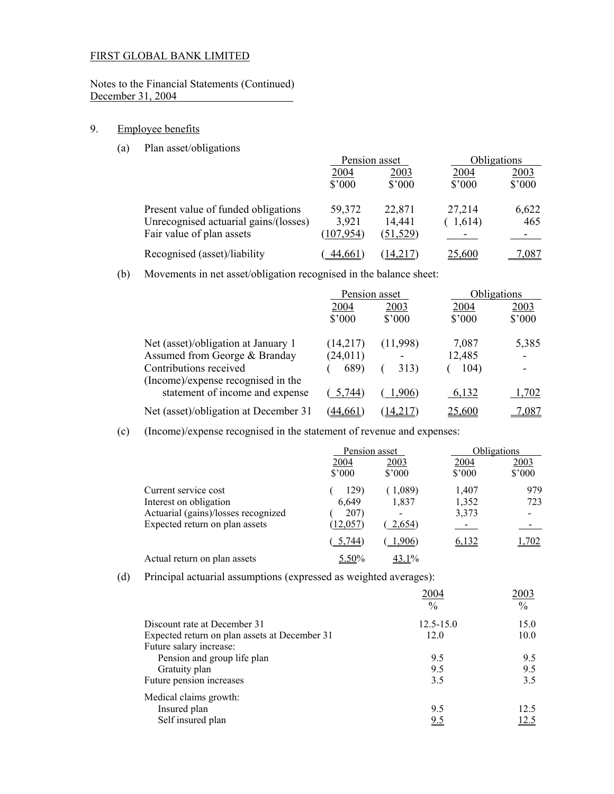## Notes to the Financial Statements (Continued) December 31, 2004

## 9. Employee benefits

(a) Plan asset/obligations

|                                       | Pension asset   |                | <b>Obligations</b> |                 |
|---------------------------------------|-----------------|----------------|--------------------|-----------------|
|                                       | 2004            | 2003           |                    | 2003            |
|                                       | $$^{\prime}000$ | $$^{\circ}000$ | $$^{\prime}000$    | $$^{\prime}000$ |
| Present value of funded obligations   | 59,372          | 22,871         | 27,214             | 6,622           |
| Unrecognised actuarial gains/(losses) | 3,921           | 14,441         | 1,614)             | 465             |
| Fair value of plan assets             | (107, 954)      | (51, 529)      |                    |                 |
| Recognised (asset)/liability          | 44,661          | 14.217)        | 25,600             | .087            |

(b) Movements in net asset/obligation recognised in the balance sheet:

|                                       | Pension asset  |                | Obligations   |                 |
|---------------------------------------|----------------|----------------|---------------|-----------------|
|                                       | 2004           | 2003           | 2004          | 2003            |
|                                       | $$^{\circ}000$ | $$^{\circ}000$ | \$'000        | $$^{\prime}000$ |
| Net (asset)/obligation at January 1   | (14,217)       | (11,998)       | 7,087         | 5,385           |
| Assumed from George & Branday         | (24, 011)      |                | 12,485        |                 |
| Contributions received                | 689)           | 313)           | 104)          |                 |
| (Income)/expense recognised in the    |                |                |               |                 |
| statement of income and expense       | 5,744)         | 1,906)         | 6,132         | 1,702           |
| Net (asset)/obligation at December 31 | 44,661         | 14.217         | <u>25,600</u> | .087            |

(c) (Income)/expense recognised in the statement of revenue and expenses:

|                                     | Pension asset          |                        |                          | <b>Obligations</b>     |  |
|-------------------------------------|------------------------|------------------------|--------------------------|------------------------|--|
|                                     | 2004<br>$$^{\circ}000$ | 2003<br>$$^{\circ}000$ | 2004<br>$$^{\circ}000$   | 2003<br>$$^{\circ}000$ |  |
| Current service cost                | 129)                   | (1,089)                | 1,407                    | 979                    |  |
| Interest on obligation              | 6.649                  | 1,837                  | 1,352                    | 723                    |  |
| Actuarial (gains)/losses recognized | <b>207</b> )           |                        | 3,373                    | $\blacksquare$         |  |
| Expected return on plan assets      | (12, 057)              | 2,654)                 | <b>Contract Contract</b> |                        |  |
|                                     | $-5.744$               | .906)                  | <u>6,132</u>             | 1,702                  |  |
| Actual return on plan assets        | 5.50%                  | 43.1%                  |                          |                        |  |

(d) Principal actuarial assumptions (expressed as weighted averages):

|                                                                        | 2004<br>$\frac{0}{0}$ | 2003<br>$\frac{0}{0}$ |
|------------------------------------------------------------------------|-----------------------|-----------------------|
| Discount rate at December 31                                           | $12.5 - 15.0$         | 15.0                  |
| Expected return on plan assets at December 31                          | 12.0                  | 10.0                  |
| Future salary increase:                                                |                       |                       |
|                                                                        | 9.5                   | 9.5                   |
|                                                                        | 9.5                   | 9.5                   |
| Future pension increases                                               | 3.5                   | 3.5                   |
|                                                                        |                       |                       |
| Insured plan                                                           | 9.5                   | 12.5                  |
| Self insured plan                                                      | 9.5                   | 12.5                  |
| Pension and group life plan<br>Gratuity plan<br>Medical claims growth: |                       |                       |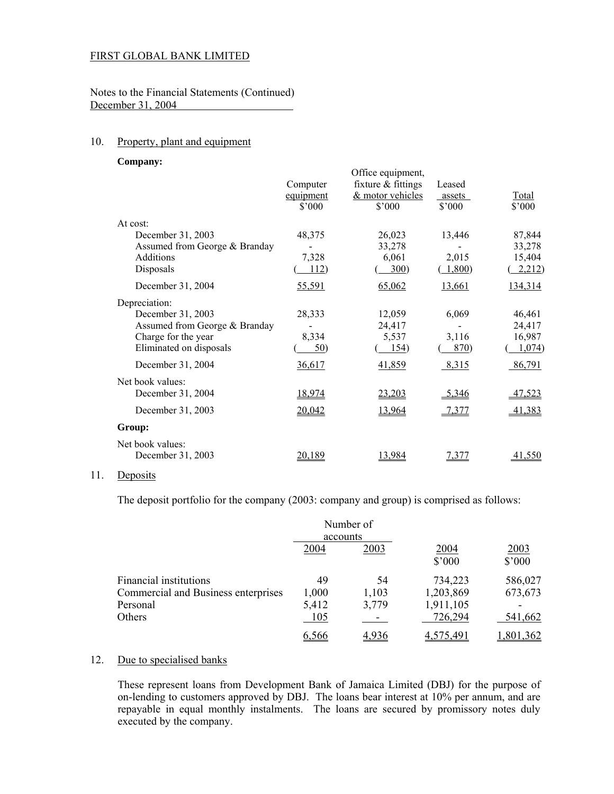Notes to the Financial Statements (Continued) December 31, 2004

#### 10. Property, plant and equipment

**Company:**

|                               | Computer<br>equipment<br>\$'000 | Office equipment,<br>fixture $&$ fittings<br>& motor vehicles<br>$$^{\circ}000$ | Leased<br>assets<br>\$'000 | <b>Total</b><br>\$'000 |
|-------------------------------|---------------------------------|---------------------------------------------------------------------------------|----------------------------|------------------------|
| At cost:                      |                                 |                                                                                 |                            |                        |
| December 31, 2003             | 48,375                          | 26,023                                                                          | 13,446                     | 87,844                 |
| Assumed from George & Branday |                                 | 33,278                                                                          |                            | 33,278                 |
| Additions                     | 7,328                           | 6,061                                                                           | 2,015                      | 15,404                 |
| Disposals                     | 112)                            | 300)                                                                            | (1,800)                    | 2,212)                 |
| December 31, 2004             | 55,591                          | 65,062                                                                          | 13,661                     | 134,314                |
| Depreciation:                 |                                 |                                                                                 |                            |                        |
| December 31, 2003             | 28,333                          | 12,059                                                                          | 6,069                      | 46,461                 |
| Assumed from George & Branday |                                 | 24,417                                                                          |                            | 24,417                 |
| Charge for the year           | 8,334                           | 5,537                                                                           | 3,116                      | 16,987                 |
| Eliminated on disposals       | $\frac{50}{2}$                  | 154)                                                                            | 870)                       | 1,074)                 |
| December 31, 2004             | 36,617                          | 41,859                                                                          | 8,315                      | 86,791                 |
| Net book values:              |                                 |                                                                                 |                            |                        |
| December 31, 2004             | 18,974                          | 23,203                                                                          | $-5,346$                   | 47,523                 |
| December 31, 2003             | 20,042                          | 13,964                                                                          | 7,377                      | 41,383                 |
| Group:                        |                                 |                                                                                 |                            |                        |
| Net book values:              |                                 |                                                                                 |                            |                        |
| December 31, 2003             | 20,189                          | 13,984                                                                          | <u>7,377</u>               | <u>41,550</u>          |
|                               |                                 |                                                                                 |                            |                        |

#### 11. Deposits

The deposit portfolio for the company (2003: company and group) is comprised as follows:

|                                     | accounts | Number of |                        |                         |
|-------------------------------------|----------|-----------|------------------------|-------------------------|
|                                     | 2004     | 2003      | 2004<br>$$^{\circ}000$ | 2003<br>$$^{\prime}000$ |
| Financial institutions              | 49       | 54        | 734,223                | 586,027                 |
| Commercial and Business enterprises | 1,000    | 1,103     | 1,203,869              | 673,673                 |
| Personal                            | 5,412    | 3,779     | 1,911,105              |                         |
| <b>Others</b>                       | 105      |           | 726,294                | 541,662                 |
|                                     | 6,566    | 4.936     | 4.575.491              | ,801,362                |

#### 12. Due to specialised banks

 These represent loans from Development Bank of Jamaica Limited (DBJ) for the purpose of on-lending to customers approved by DBJ. The loans bear interest at 10% per annum, and are repayable in equal monthly instalments. The loans are secured by promissory notes duly executed by the company.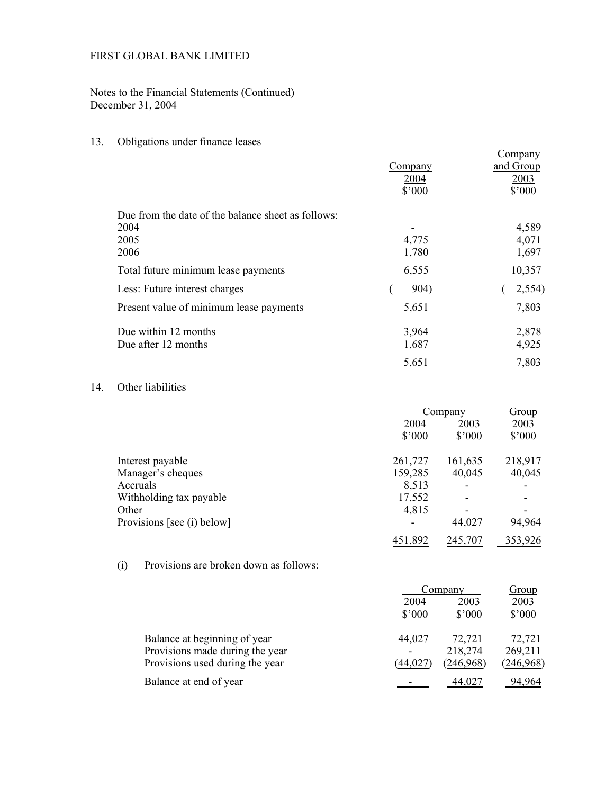Notes to the Financial Statements (Continued) December 31, 2004

## 13. Obligations under finance leases

|                                                    |         | Company   |
|----------------------------------------------------|---------|-----------|
|                                                    | Company | and Group |
|                                                    | 2004    | 2003      |
|                                                    | \$'000  | \$'000    |
| Due from the date of the balance sheet as follows: |         |           |
| 2004                                               |         | 4,589     |
| 2005                                               | 4,775   | 4,071     |
| 2006                                               | 1,780   | 1,697     |
| Total future minimum lease payments                | 6,555   | 10,357    |
| Less: Future interest charges                      | 904)    | 2,554)    |
| Present value of minimum lease payments            | 5,651   | 7,803     |
| Due within 12 months                               | 3,964   | 2,878     |
| Due after 12 months                                | 1,687   | 4,925     |
|                                                    | 5,651   | 7,803     |

## 14. Other liabilities

|                            | Company         |                 | Group           |  |
|----------------------------|-----------------|-----------------|-----------------|--|
|                            | 2004<br>2003    |                 | 2003            |  |
|                            | $$^{\prime}000$ | $$^{\prime}000$ | $$^{\prime}000$ |  |
| Interest payable           | 261,727         | 161,635         | 218,917         |  |
| Manager's cheques          | 159,285         | 40,045          | 40,045          |  |
| Accruals                   | 8,513           |                 |                 |  |
| Withholding tax payable    | 17,552          |                 |                 |  |
| Other                      | 4,815           |                 |                 |  |
| Provisions [see (i) below] |                 | 44,027          | 94,964          |  |
|                            | 451,892         | 245,707         | 353,926         |  |

## (i) Provisions are broken down as follows:

|                                 |                          | Company         |                 |
|---------------------------------|--------------------------|-----------------|-----------------|
|                                 | 2004<br>2003             |                 | 2003            |
|                                 | $$^{\prime}000$          | $$^{\prime}000$ | $$^{\prime}000$ |
| Balance at beginning of year    | 44,027                   | 72,721          | 72,721          |
| Provisions made during the year | $\overline{\phantom{a}}$ | 218,274         | 269,211         |
| Provisions used during the year | (44,027                  | (246,968)       | (246,968)       |
| Balance at end of year          |                          | <u>44.027</u>   | 94.964          |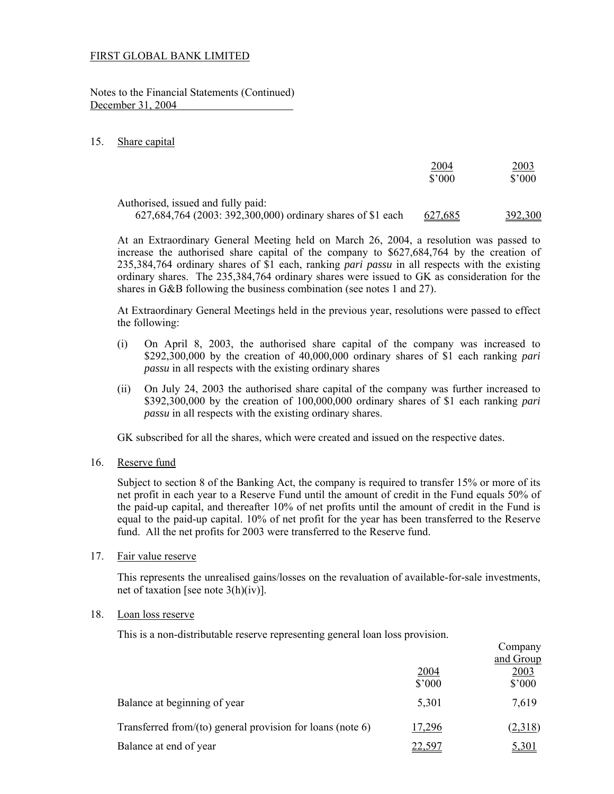Notes to the Financial Statements (Continued) December 31, 2004

#### 15. Share capital

|                                                                                                   | <u> 2004 </u><br>$$^{\prime}000$ | <u> 2003</u><br>$$^{\circ}000$ |
|---------------------------------------------------------------------------------------------------|----------------------------------|--------------------------------|
| Authorised, issued and fully paid:<br>627,684,764 (2003: 392,300,000) ordinary shares of \$1 each | <u>627,685</u>                   | 392,300                        |

 At an Extraordinary General Meeting held on March 26, 2004, a resolution was passed to increase the authorised share capital of the company to \$627,684,764 by the creation of 235,384,764 ordinary shares of \$1 each, ranking *pari passu* in all respects with the existing ordinary shares. The 235,384,764 ordinary shares were issued to GK as consideration for the shares in G&B following the business combination (see notes 1 and 27).

 At Extraordinary General Meetings held in the previous year, resolutions were passed to effect the following:

- (i) On April 8, 2003, the authorised share capital of the company was increased to \$292,300,000 by the creation of 40,000,000 ordinary shares of \$1 each ranking *pari passu* in all respects with the existing ordinary shares
- (ii) On July 24, 2003 the authorised share capital of the company was further increased to \$392,300,000 by the creation of 100,000,000 ordinary shares of \$1 each ranking *pari passu* in all respects with the existing ordinary shares.

GK subscribed for all the shares, which were created and issued on the respective dates.

16. Reserve fund

 Subject to section 8 of the Banking Act, the company is required to transfer 15% or more of its net profit in each year to a Reserve Fund until the amount of credit in the Fund equals 50% of the paid-up capital, and thereafter 10% of net profits until the amount of credit in the Fund is equal to the paid-up capital. 10% of net profit for the year has been transferred to the Reserve fund. All the net profits for 2003 were transferred to the Reserve fund.

17. Fair value reserve

 This represents the unrealised gains/losses on the revaluation of available-for-sale investments, net of taxation [see note 3(h)(iv)].

#### 18. Loan loss reserve

This is a non-distributable reserve representing general loan loss provision.

|                                                               |                 | Company           |
|---------------------------------------------------------------|-----------------|-------------------|
|                                                               | 2004            | and Group<br>2003 |
|                                                               | $$^{\prime}000$ | $$^{\prime}000$   |
| Balance at beginning of year                                  | 5,301           | 7,619             |
| Transferred from/(to) general provision for loans (note $6$ ) | 17,296          | (2,318)           |
| Balance at end of year                                        | 22.597          | 5,301             |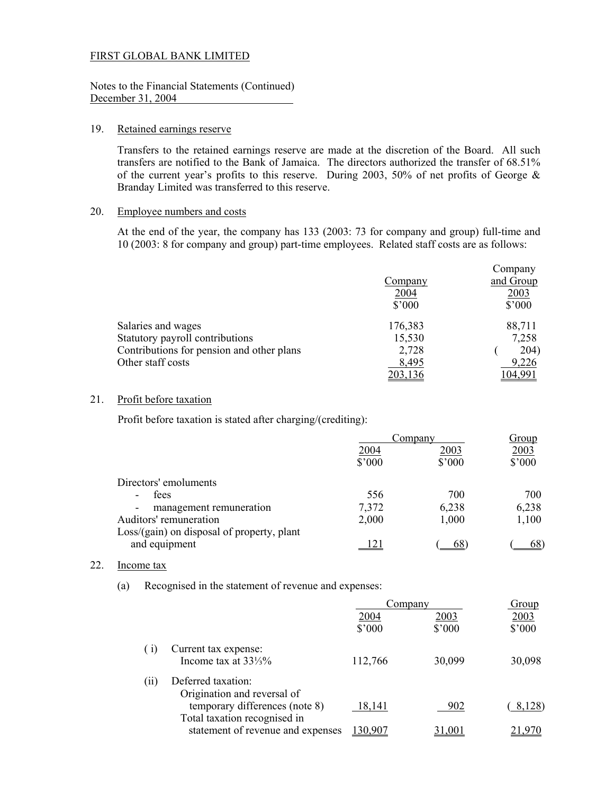#### Notes to the Financial Statements (Continued) December 31, 2004

#### 19. Retained earnings reserve

Transfers to the retained earnings reserve are made at the discretion of the Board. All such transfers are notified to the Bank of Jamaica. The directors authorized the transfer of 68.51% of the current year's profits to this reserve. During 2003, 50% of net profits of George & Branday Limited was transferred to this reserve.

#### 20. Employee numbers and costs

 At the end of the year, the company has 133 (2003: 73 for company and group) full-time and 10 (2003: 8 for company and group) part-time employees. Related staff costs are as follows:

|                                           |                | Company        |
|-------------------------------------------|----------------|----------------|
|                                           | Company        | and Group      |
|                                           | 2004           | <u>2003</u>    |
|                                           | $$^{\circ}000$ | $$^{\circ}000$ |
| Salaries and wages                        | 176,383        | 88,711         |
| Statutory payroll contributions           | 15,530         | 7,258          |
| Contributions for pension and other plans | 2,728          | 204)           |
| Other staff costs                         | 8,495          | 9,226          |
|                                           |                |                |

## 21. Profit before taxation

Profit before taxation is stated after charging/(crediting):

|                                                     | <u>Company</u> |                | <u>Group</u> |  |
|-----------------------------------------------------|----------------|----------------|--------------|--|
|                                                     | 2004           | 2003           | 2003         |  |
|                                                     | $$^{\circ}000$ | $$^{\circ}000$ | \$'000       |  |
| Directors' emoluments                               |                |                |              |  |
| fees<br>$\overline{\phantom{a}}$                    | 556            | 700            | 700          |  |
| management remuneration<br>$\overline{\phantom{a}}$ | 7,372          | 6,238          | 6,238        |  |
| Auditors' remuneration                              | 2,000          | 1,000          | 1,100        |  |
| Loss/(gain) on disposal of property, plant          |                |                |              |  |
| and equipment                                       |                | 68             |              |  |

#### 22. Income tax

(a) Recognised in the statement of revenue and expenses:

|                                                                   | Company         |                | Group  |
|-------------------------------------------------------------------|-----------------|----------------|--------|
|                                                                   | 2004            | 2003           | 2003   |
|                                                                   | $$^{\prime}000$ | $$^{\circ}000$ | \$'000 |
| Current tax expense:<br>(1)                                       |                 |                |        |
| Income tax at $33\frac{1}{3}\%$                                   | 112,766         | 30,099         | 30,098 |
| Deferred taxation:<br>(11)                                        |                 |                |        |
| Origination and reversal of                                       |                 |                |        |
| temporary differences (note 8)                                    | 18,141          | 902            | 8,128) |
| Total taxation recognised in<br>statement of revenue and expenses | 130,907         |                |        |
|                                                                   |                 |                |        |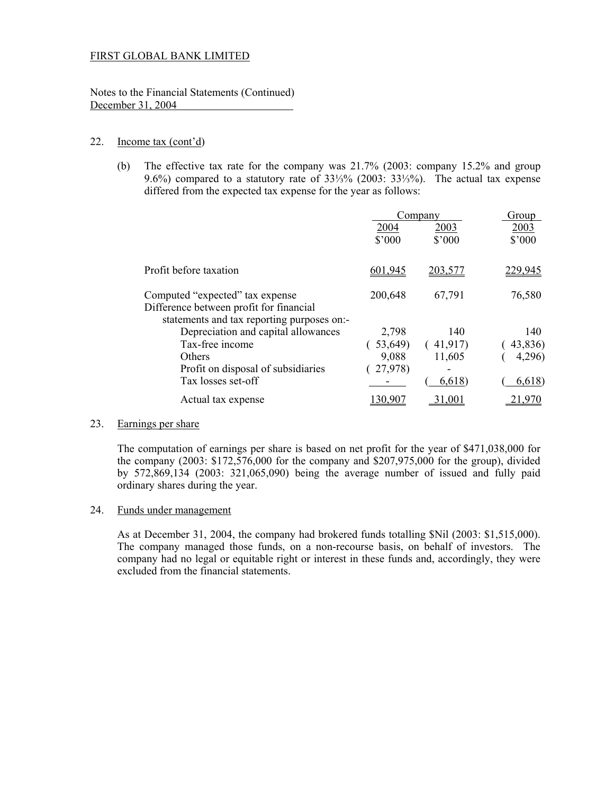Notes to the Financial Statements (Continued) December 31, 2004

### 22. Income tax (cont'd)

 (b) The effective tax rate for the company was 21.7% (2003: company 15.2% and group 9.6%) compared to a statutory rate of 33⅓% (2003: 33⅓%). The actual tax expense differed from the expected tax expense for the year as follows:

|                                            | Company         |                          | Group   |
|--------------------------------------------|-----------------|--------------------------|---------|
|                                            | 2004            | 2003                     | 2003    |
|                                            | $$^{\prime}000$ | $$^{\circ}000$           | \$'000  |
|                                            |                 |                          |         |
| Profit before taxation                     | 601,945         | 203,577                  | 229,945 |
|                                            |                 |                          |         |
| Computed "expected" tax expense            | 200,648         | 67,791                   | 76,580  |
| Difference between profit for financial    |                 |                          |         |
| statements and tax reporting purposes on:- |                 |                          |         |
| Depreciation and capital allowances        | 2,798           | 140                      | 140     |
| Tax-free income                            | 53,649)         | 41,917)                  | 43,836) |
| Others                                     | 9,088           | 11,605                   | 4,296)  |
| Profit on disposal of subsidiaries         | 27,978)         | $\overline{\phantom{0}}$ |         |
| Tax losses set-off                         |                 | 6,618                    | 6,618)  |
| Actual tax expense                         |                 |                          |         |
|                                            |                 |                          |         |

## 23. Earnings per share

 The computation of earnings per share is based on net profit for the year of \$471,038,000 for the company  $(2003: $172,576,000$  for the company and  $$207,975,000$  for the group), divided by 572,869,134 (2003: 321,065,090) being the average number of issued and fully paid ordinary shares during the year.

#### 24. Funds under management

As at December 31, 2004, the company had brokered funds totalling \$Nil (2003: \$1,515,000). The company managed those funds, on a non-recourse basis, on behalf of investors. The company had no legal or equitable right or interest in these funds and, accordingly, they were excluded from the financial statements.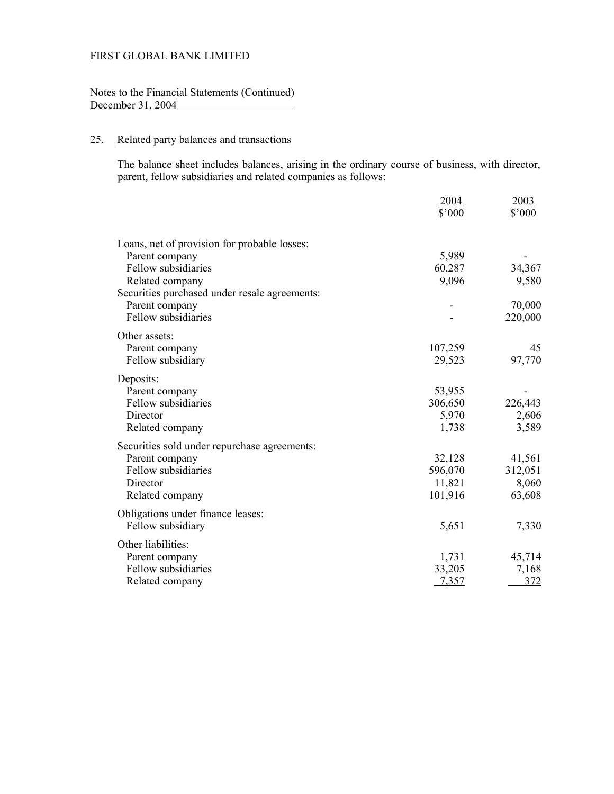## Notes to the Financial Statements (Continued) December 31, 2004

## 25. Related party balances and transactions

The balance sheet includes balances, arising in the ordinary course of business, with director, parent, fellow subsidiaries and related companies as follows:

|                                               | 2004<br>\$'000 | 2003<br>\$'000 |
|-----------------------------------------------|----------------|----------------|
|                                               |                |                |
| Loans, net of provision for probable losses:  |                |                |
| Parent company                                | 5,989          |                |
| Fellow subsidiaries                           | 60,287         | 34,367         |
| Related company                               | 9,096          | 9,580          |
| Securities purchased under resale agreements: |                |                |
| Parent company                                |                | 70,000         |
| Fellow subsidiaries                           |                | 220,000        |
| Other assets:                                 |                |                |
| Parent company                                | 107,259        | 45             |
| Fellow subsidiary                             | 29,523         | 97,770         |
| Deposits:                                     |                |                |
| Parent company                                | 53,955         |                |
| Fellow subsidiaries                           | 306,650        | 226,443        |
| Director                                      | 5,970          | 2,606          |
| Related company                               | 1,738          | 3,589          |
| Securities sold under repurchase agreements:  |                |                |
| Parent company                                | 32,128         | 41,561         |
| Fellow subsidiaries                           | 596,070        | 312,051        |
| Director                                      | 11,821         | 8,060          |
| Related company                               | 101,916        | 63,608         |
| Obligations under finance leases:             |                |                |
| Fellow subsidiary                             | 5,651          | 7,330          |
| Other liabilities:                            |                |                |
| Parent company                                | 1,731          | 45,714         |
| Fellow subsidiaries                           | 33,205         | 7,168          |
| Related company                               | 7,357          | 372            |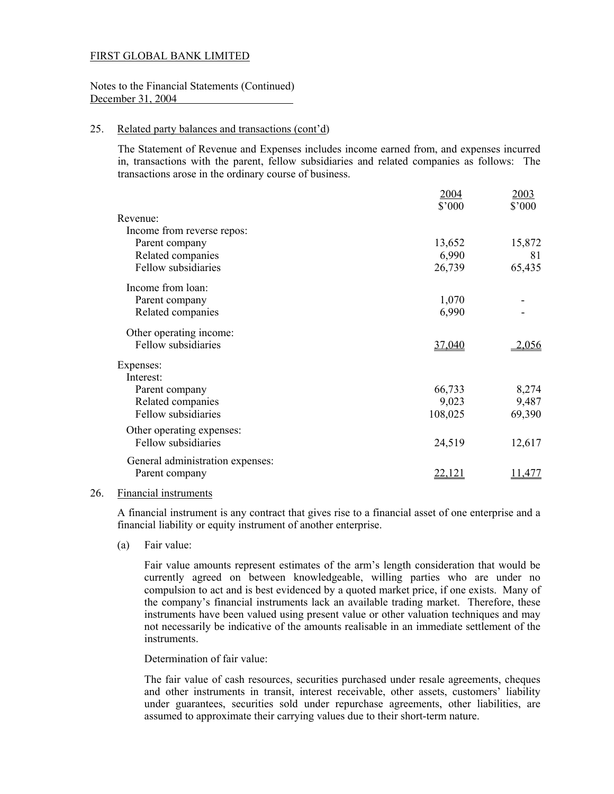Notes to the Financial Statements (Continued) December 31, 2004

#### 25. Related party balances and transactions (cont'd)

 The Statement of Revenue and Expenses includes income earned from, and expenses incurred in, transactions with the parent, fellow subsidiaries and related companies as follows: The transactions arose in the ordinary course of business.

|                                  | 2004<br>\$'000 | <u>2003</u><br>\$'000 |
|----------------------------------|----------------|-----------------------|
| Revenue:                         |                |                       |
| Income from reverse repos:       |                |                       |
| Parent company                   | 13,652         | 15,872                |
| Related companies                | 6,990          | 81                    |
| Fellow subsidiaries              | 26,739         | 65,435                |
| Income from loan:                |                |                       |
| Parent company                   | 1,070          |                       |
| Related companies                | 6,990          |                       |
| Other operating income:          |                |                       |
| Fellow subsidiaries              | 37,040         | 2,056                 |
| Expenses:                        |                |                       |
| Interest:                        |                |                       |
| Parent company                   | 66,733         | 8,274                 |
| Related companies                | 9,023          | 9,487                 |
| Fellow subsidiaries              | 108,025        | 69,390                |
| Other operating expenses:        |                |                       |
| Fellow subsidiaries              | 24,519         | 12,617                |
| General administration expenses: |                |                       |
| Parent company                   | <u>22,121</u>  | 1,477                 |
|                                  |                |                       |

#### 26. Financial instruments

 A financial instrument is any contract that gives rise to a financial asset of one enterprise and a financial liability or equity instrument of another enterprise.

(a) Fair value:

Fair value amounts represent estimates of the arm's length consideration that would be currently agreed on between knowledgeable, willing parties who are under no compulsion to act and is best evidenced by a quoted market price, if one exists. Many of the company's financial instruments lack an available trading market. Therefore, these instruments have been valued using present value or other valuation techniques and may not necessarily be indicative of the amounts realisable in an immediate settlement of the instruments.

Determination of fair value:

The fair value of cash resources, securities purchased under resale agreements, cheques and other instruments in transit, interest receivable, other assets, customers' liability under guarantees, securities sold under repurchase agreements, other liabilities, are assumed to approximate their carrying values due to their short-term nature.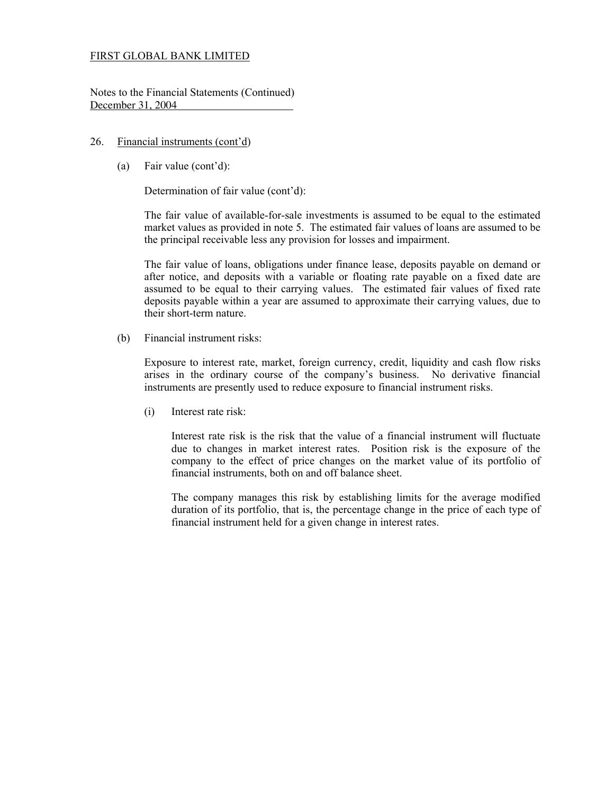Notes to the Financial Statements (Continued) December 31, 2004

### 26. Financial instruments (cont'd)

(a) Fair value (cont'd):

Determination of fair value (cont'd):

The fair value of available-for-sale investments is assumed to be equal to the estimated market values as provided in note 5. The estimated fair values of loans are assumed to be the principal receivable less any provision for losses and impairment.

The fair value of loans, obligations under finance lease, deposits payable on demand or after notice, and deposits with a variable or floating rate payable on a fixed date are assumed to be equal to their carrying values. The estimated fair values of fixed rate deposits payable within a year are assumed to approximate their carrying values, due to their short-term nature.

(b) Financial instrument risks:

Exposure to interest rate, market, foreign currency, credit, liquidity and cash flow risks arises in the ordinary course of the company's business. No derivative financial instruments are presently used to reduce exposure to financial instrument risks.

(i) Interest rate risk:

Interest rate risk is the risk that the value of a financial instrument will fluctuate due to changes in market interest rates. Position risk is the exposure of the company to the effect of price changes on the market value of its portfolio of financial instruments, both on and off balance sheet.

The company manages this risk by establishing limits for the average modified duration of its portfolio, that is, the percentage change in the price of each type of financial instrument held for a given change in interest rates.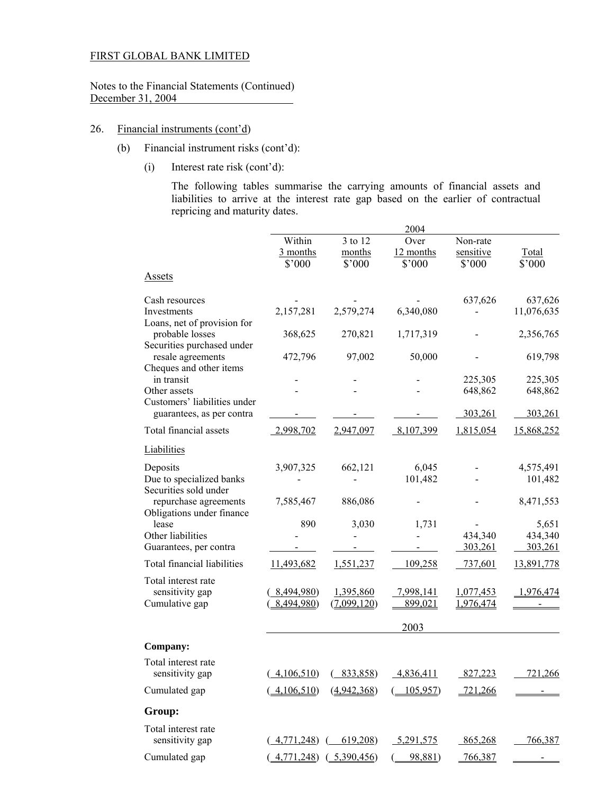Notes to the Financial Statements (Continued) December 31, 2004

## 26. Financial instruments (cont'd)

- (b) Financial instrument risks (cont'd):
	- (i) Interest rate risk (cont'd):

The following tables summarise the carrying amounts of financial assets and liabilities to arrive at the interest rate gap based on the earlier of contractual repricing and maturity dates.

|                                                                                       |                                                        |                                                                                                             | 2004                        |                                 |                       |
|---------------------------------------------------------------------------------------|--------------------------------------------------------|-------------------------------------------------------------------------------------------------------------|-----------------------------|---------------------------------|-----------------------|
|                                                                                       | Within<br>3 months<br>\$'000                           | 3 to 12<br>months<br>\$'000                                                                                 | Over<br>12 months<br>\$'000 | Non-rate<br>sensitive<br>\$'000 | Total<br>\$'000       |
| <b>Assets</b>                                                                         |                                                        |                                                                                                             |                             |                                 |                       |
| Cash resources<br>Investments                                                         | 2,157,281                                              | 2,579,274                                                                                                   | 6,340,080                   | 637,626                         | 637,626<br>11,076,635 |
| Loans, net of provision for<br>probable losses                                        | 368,625                                                | 270,821                                                                                                     | 1,717,319                   |                                 | 2,356,765             |
| Securities purchased under<br>resale agreements                                       | 472,796                                                | 97,002                                                                                                      | 50,000                      |                                 | 619,798               |
| Cheques and other items<br>in transit<br>Other assets<br>Customers' liabilities under |                                                        |                                                                                                             |                             | 225,305<br>648,862              | 225,305<br>648,862    |
| guarantees, as per contra                                                             |                                                        |                                                                                                             |                             | 303,261                         | 303,261               |
| Total financial assets                                                                | 2,998,702                                              | 2,947,097                                                                                                   | 8,107,399                   | 1,815,054                       | 15,868,252            |
| Liabilities                                                                           |                                                        |                                                                                                             |                             |                                 |                       |
| Deposits<br>Due to specialized banks<br>Securities sold under                         | 3,907,325                                              | 662,121                                                                                                     | 6,045<br>101,482            |                                 | 4,575,491<br>101,482  |
| repurchase agreements<br>Obligations under finance                                    | 7,585,467                                              | 886,086                                                                                                     |                             |                                 | 8,471,553             |
| lease<br>Other liabilities                                                            | 890                                                    | 3,030                                                                                                       | 1,731                       | 434,340                         | 5,651<br>434,340      |
| Guarantees, per contra                                                                |                                                        |                                                                                                             |                             | 303,261                         | 303,261               |
| Total financial liabilities                                                           | 11,493,682                                             | 1,551,237                                                                                                   | 109,258                     | 737,601                         | 13,891,778            |
| Total interest rate<br>sensitivity gap<br>Cumulative gap                              | 8,494,980)<br>8,494,980)                               | 1,395,860<br>(7,099,120)                                                                                    | 7,998,141<br>899,021        | 1,077,453<br>1,976,474          | 1,976,474             |
|                                                                                       |                                                        |                                                                                                             | 2003                        |                                 |                       |
| Company:                                                                              |                                                        |                                                                                                             |                             |                                 |                       |
| Total interest rate<br>sensitivity gap                                                |                                                        | $\left(\begin{array}{cc} 4,106,510 \end{array}\right)$ $\left(\begin{array}{cc} 833,858 \end{array}\right)$ | 4,836,411                   | 827,223                         | 721,266               |
| Cumulated gap                                                                         | 4,106,510                                              | (4,942,368)                                                                                                 | 105,957                     | 721,266                         |                       |
| Group:                                                                                |                                                        |                                                                                                             |                             |                                 |                       |
| Total interest rate<br>sensitivity gap                                                | 4,771,248)                                             | 619,208                                                                                                     | 5,291,575                   | 865,268                         | 766,387               |
| Cumulated gap                                                                         | $\left(\frac{4,771,248}{6},\frac{5,390,456}{6}\right)$ |                                                                                                             | 98,881)                     | 766,387                         |                       |
|                                                                                       |                                                        |                                                                                                             |                             |                                 |                       |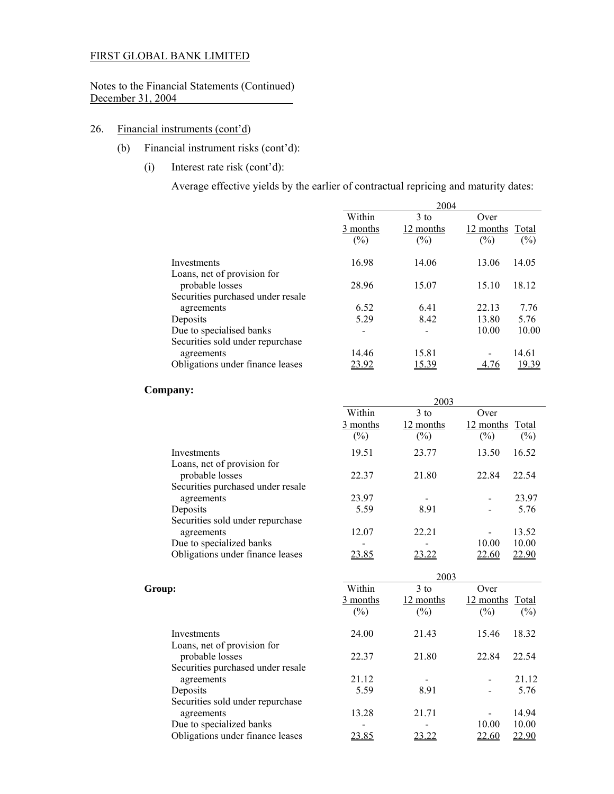Notes to the Financial Statements (Continued) December 31, 2004 

## 26. Financial instruments (cont'd)

- (b) Financial instrument risks (cont'd):
	- (i) Interest rate risk (cont'd):

Average effective yields by the earlier of contractual repricing and maturity dates:

|                                                              | 2004                         |                               |                             |              |
|--------------------------------------------------------------|------------------------------|-------------------------------|-----------------------------|--------------|
|                                                              | Within<br>3 months<br>$(\%)$ | $3$ to<br>12 months<br>$(\%)$ | Over<br>12 months<br>$(\%)$ | Total<br>(%) |
| Investments                                                  | 16.98                        | 14.06                         | 13.06                       | 14.05        |
| Loans, net of provision for<br>probable losses               | 28.96                        | 15.07                         | 15.10                       | 18.12        |
| Securities purchased under resale<br>agreements              | 6.52                         | 6.41                          | 22.13                       | 7.76         |
| Deposits                                                     | 5.29                         | 8.42                          | 13.80                       | 5.76         |
| Due to specialised banks<br>Securities sold under repurchase |                              | $\blacksquare$                | 10.00                       | 10.00        |
| agreements                                                   | 14.46                        | 15.81                         |                             | 14.61        |
| Obligations under finance leases                             | 23.92                        | 15.39                         |                             | <u>19.39</u> |

### **Company:**

|                                                 |              | 2003      |              |              |
|-------------------------------------------------|--------------|-----------|--------------|--------------|
|                                                 | Within       | $3$ to    | Over         |              |
|                                                 | 3 months     | 12 months | 12 months    | <b>Total</b> |
|                                                 | $(\%)$       | $(\%)$    | $(\%)$       | $(\% )$      |
| Investments                                     | 19.51        | 23.77     | 13.50        | 16.52        |
| Loans, net of provision for<br>probable losses  | 22.37        | 21.80     | 22.84        | 22.54        |
| Securities purchased under resale<br>agreements | 23.97        |           |              | 23.97        |
| Deposits                                        | 5.59         | 8.91      |              | 5.76         |
| Securities sold under repurchase<br>agreements  | 12.07        | 22.21     |              | 13.52        |
| Due to specialized banks                        |              |           | 10.00        | 10.00        |
| Obligations under finance leases                | <u>23.85</u> | 23.22     | <u>22.60</u> | <u>22.90</u> |

|                                   | 2003     |           |              |              |
|-----------------------------------|----------|-----------|--------------|--------------|
| Group:                            | Within   | $3$ to    | Over         |              |
|                                   | 3 months | 12 months | $12$ months  | <b>Total</b> |
|                                   | $(\%)$   | $(\%)$    | $(\%)$       | $(\%)$       |
| Investments                       | 24.00    | 21.43     | 15.46        | 18.32        |
| Loans, net of provision for       |          |           |              |              |
| probable losses                   | 22.37    | 21.80     | 22.84        | 22.54        |
| Securities purchased under resale |          |           |              |              |
| agreements                        | 21.12    |           | ۰            | 21.12        |
| Deposits                          | 5.59     | 8.91      |              | 5.76         |
| Securities sold under repurchase  |          |           |              |              |
| agreements                        | 13.28    | 21.71     |              | 14.94        |
| Due to specialized banks          |          |           | 10.00        | 10.00        |
| Obligations under finance leases  | 23.85    | 23.22     | <u>22.60</u> | 22.90        |
|                                   |          |           |              |              |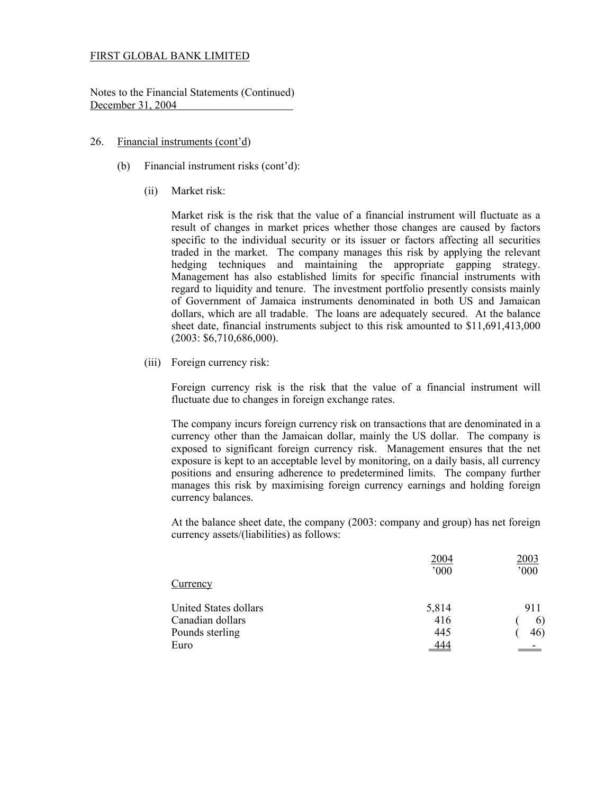Notes to the Financial Statements (Continued) December 31, 2004

#### 26. Financial instruments (cont'd)

- (b) Financial instrument risks (cont'd):
	- (ii) Market risk:

Market risk is the risk that the value of a financial instrument will fluctuate as a result of changes in market prices whether those changes are caused by factors specific to the individual security or its issuer or factors affecting all securities traded in the market. The company manages this risk by applying the relevant hedging techniques and maintaining the appropriate gapping strategy. Management has also established limits for specific financial instruments with regard to liquidity and tenure. The investment portfolio presently consists mainly of Government of Jamaica instruments denominated in both US and Jamaican dollars, which are all tradable. The loans are adequately secured. At the balance sheet date, financial instruments subject to this risk amounted to \$11,691,413,000 (2003: \$6,710,686,000).

(iii) Foreign currency risk:

 Foreign currency risk is the risk that the value of a financial instrument will fluctuate due to changes in foreign exchange rates.

The company incurs foreign currency risk on transactions that are denominated in a currency other than the Jamaican dollar, mainly the US dollar. The company is exposed to significant foreign currency risk. Management ensures that the net exposure is kept to an acceptable level by monitoring, on a daily basis, all currency positions and ensuring adherence to predetermined limits. The company further manages this risk by maximising foreign currency earnings and holding foreign currency balances.

At the balance sheet date, the company (2003: company and group) has net foreign currency assets/(liabilities) as follows:

|                       | 2004  | 2003                     |
|-----------------------|-------|--------------------------|
|                       | 000   | '000                     |
| Currency              |       |                          |
| United States dollars | 5,814 | 911                      |
| Canadian dollars      | 416   | 6)                       |
| Pounds sterling       | 445   | 46)                      |
| Euro                  | 444   | $\overline{\phantom{a}}$ |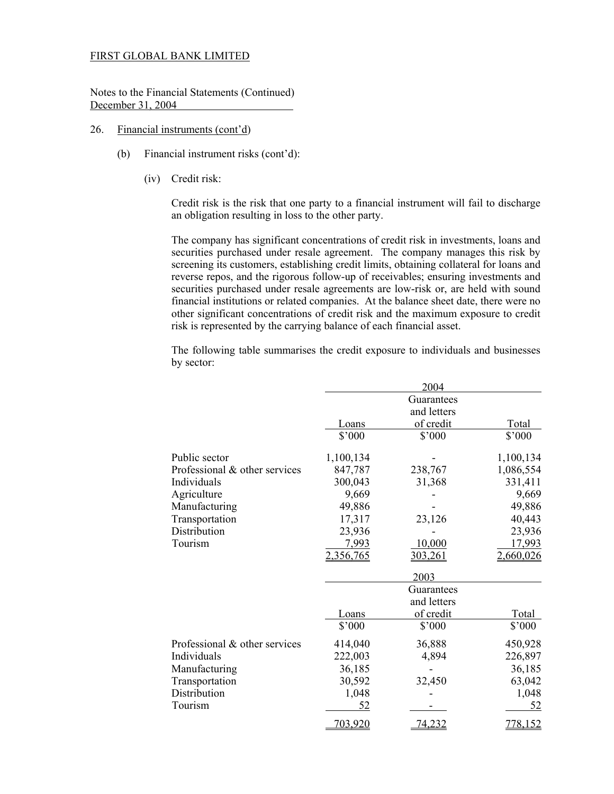Notes to the Financial Statements (Continued) December 31, 2004

- 26. Financial instruments (cont'd)
	- (b) Financial instrument risks (cont'd):
		- (iv) Credit risk:

 Credit risk is the risk that one party to a financial instrument will fail to discharge an obligation resulting in loss to the other party.

 The company has significant concentrations of credit risk in investments, loans and securities purchased under resale agreement. The company manages this risk by screening its customers, establishing credit limits, obtaining collateral for loans and reverse repos, and the rigorous follow-up of receivables; ensuring investments and securities purchased under resale agreements are low-risk or, are held with sound financial institutions or related companies. At the balance sheet date, there were no other significant concentrations of credit risk and the maximum exposure to credit risk is represented by the carrying balance of each financial asset.

The following table summarises the credit exposure to individuals and businesses by sector:

|                               |             | 2004          |           |
|-------------------------------|-------------|---------------|-----------|
|                               |             | Guarantees    |           |
|                               | and letters |               |           |
|                               | Loans       | of credit     | Total     |
|                               | \$'000      | \$'000        | \$'000    |
| Public sector                 | 1,100,134   |               | 1,100,134 |
| Professional & other services | 847,787     | 238,767       | 1,086,554 |
| Individuals                   | 300,043     | 31,368        | 331,411   |
| Agriculture                   | 9,669       |               | 9,669     |
| Manufacturing                 | 49,886      |               | 49,886    |
| Transportation                | 17,317      | 23,126        | 40,443    |
| Distribution                  | 23,936      |               | 23,936    |
| Tourism                       | 7,993       | 10,000        | 17,993    |
|                               | 2,356,765   | 303,261       | 2,660,026 |
|                               |             | 2003          |           |
|                               |             | Guarantees    |           |
|                               |             | and letters   |           |
|                               | Loans       | of credit     | Total     |
|                               | \$'000      | \$'000        | \$'000    |
| Professional & other services | 414,040     | 36,888        | 450,928   |
| Individuals                   | 222,003     | 4,894         | 226,897   |
| Manufacturing                 | 36,185      |               | 36,185    |
| Transportation                | 30,592      | 32,450        | 63,042    |
| Distribution                  | 1,048       |               | 1,048     |
| Tourism                       | 52          |               | <u>52</u> |
|                               | 703,920     | <u>74,232</u> | 778,152   |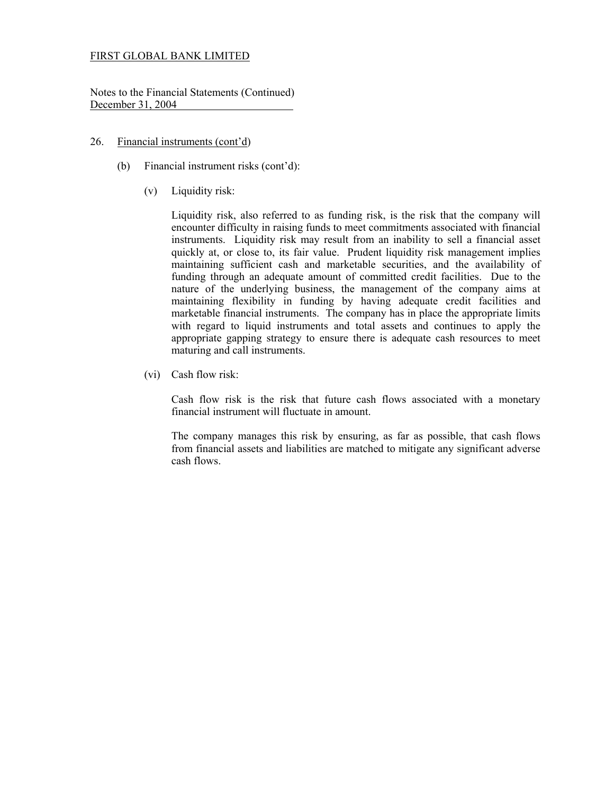Notes to the Financial Statements (Continued) December 31, 2004

### 26. Financial instruments (cont'd)

- (b) Financial instrument risks (cont'd):
	- (v) Liquidity risk:

Liquidity risk, also referred to as funding risk, is the risk that the company will encounter difficulty in raising funds to meet commitments associated with financial instruments. Liquidity risk may result from an inability to sell a financial asset quickly at, or close to, its fair value. Prudent liquidity risk management implies maintaining sufficient cash and marketable securities, and the availability of funding through an adequate amount of committed credit facilities. Due to the nature of the underlying business, the management of the company aims at maintaining flexibility in funding by having adequate credit facilities and marketable financial instruments. The company has in place the appropriate limits with regard to liquid instruments and total assets and continues to apply the appropriate gapping strategy to ensure there is adequate cash resources to meet maturing and call instruments.

(vi) Cash flow risk:

Cash flow risk is the risk that future cash flows associated with a monetary financial instrument will fluctuate in amount.

The company manages this risk by ensuring, as far as possible, that cash flows from financial assets and liabilities are matched to mitigate any significant adverse cash flows.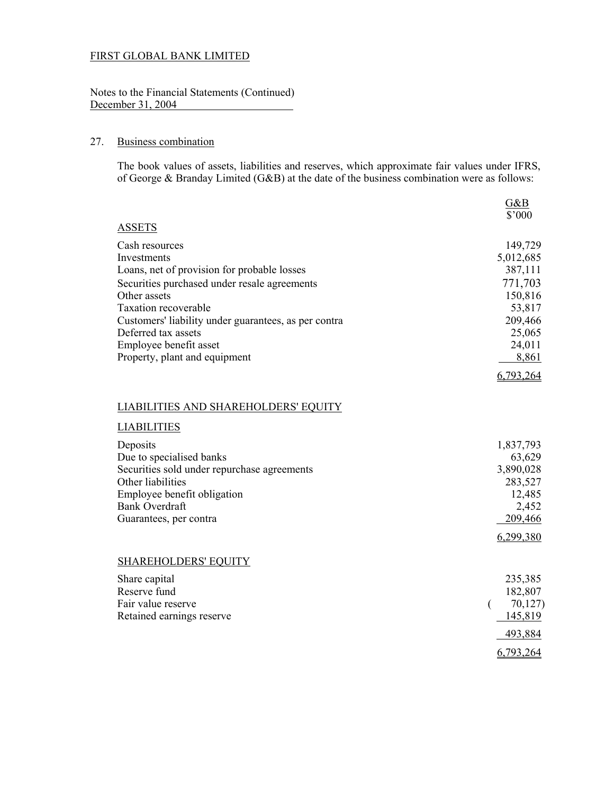Notes to the Financial Statements (Continued) December 31, 2004

### 27. Business combination

The book values of assets, liabilities and reserves, which approximate fair values under IFRS, of George & Branday Limited (G&B) at the date of the business combination were as follows:

|                                                                             | G&B               |
|-----------------------------------------------------------------------------|-------------------|
|                                                                             | \$'000            |
| <b>ASSETS</b>                                                               |                   |
| Cash resources                                                              | 149,729           |
| Investments                                                                 | 5,012,685         |
| Loans, net of provision for probable losses                                 | 387,111           |
| Securities purchased under resale agreements                                | 771,703           |
| Other assets                                                                | 150,816           |
| <b>Taxation recoverable</b>                                                 | 53,817            |
| Customers' liability under guarantees, as per contra<br>Deferred tax assets | 209,466<br>25,065 |
| Employee benefit asset                                                      | 24,011            |
| Property, plant and equipment                                               | 8,861             |
|                                                                             |                   |
|                                                                             | 6,793,264         |
|                                                                             |                   |
| LIABILITIES AND SHAREHOLDERS' EQUITY                                        |                   |
| <b>LIABILITIES</b>                                                          |                   |
| Deposits                                                                    | 1,837,793         |
| Due to specialised banks                                                    | 63,629            |
| Securities sold under repurchase agreements                                 | 3,890,028         |
| Other liabilities                                                           | 283,527           |
| Employee benefit obligation                                                 | 12,485            |
| <b>Bank Overdraft</b>                                                       | 2,452             |
| Guarantees, per contra                                                      | 209,466           |
|                                                                             | 6,299,380         |
| <b>SHAREHOLDERS' EQUITY</b>                                                 |                   |
| Share capital                                                               | 235,385           |
| Reserve fund                                                                | 182,807           |
| Fair value reserve                                                          | 70,127<br>€       |
| Retained earnings reserve                                                   | 145,819           |
|                                                                             | 493,884           |
|                                                                             | 6,793,264         |